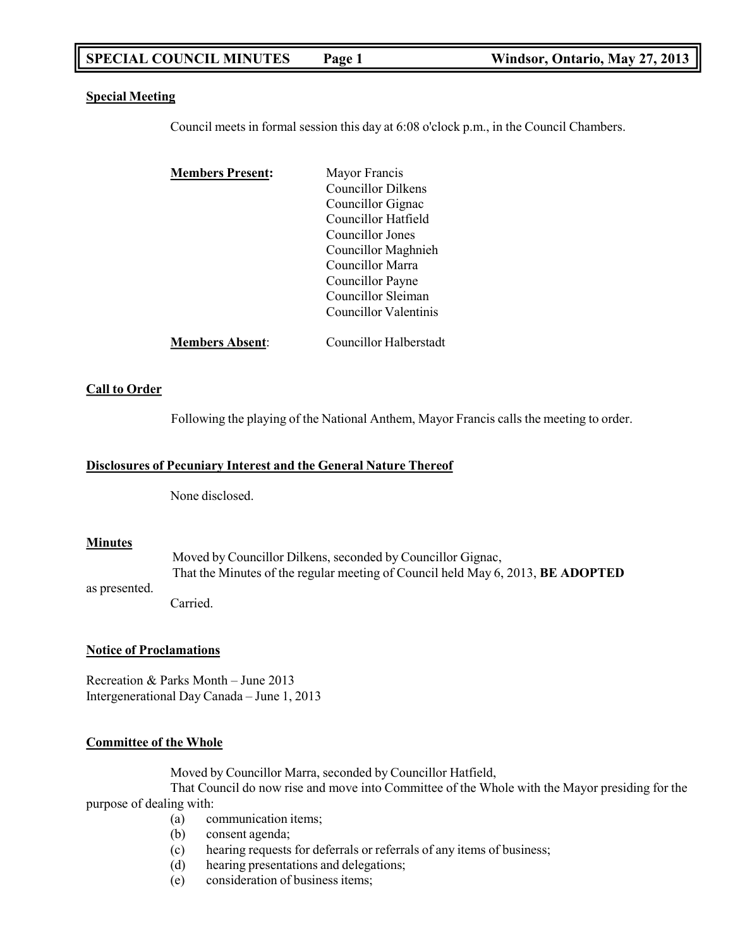# **SPECIAL COUNCIL MINUTES Page 1 Windsor, Ontario, May 27, 2013**

#### **Special Meeting**

Council meets in formal session this day at 6:08 o'clock p.m., in the Council Chambers.

| <b>Members Present:</b> | Mayor Francis             |
|-------------------------|---------------------------|
|                         | <b>Councillor Dilkens</b> |
|                         | Councillor Gignac         |
|                         | Councillor Hatfield       |
|                         | Councillor Jones          |
|                         | Councillor Maghnieh       |
|                         | Councillor Marra          |
|                         | Councillor Payne          |
|                         | Councillor Sleiman        |
|                         | Councillor Valentinis     |
| <b>Members Absent:</b>  | Councillor Halberstadt    |

#### **Call to Order**

Following the playing of the National Anthem, Mayor Francis calls the meeting to order.

#### **Disclosures of Pecuniary Interest and the General Nature Thereof**

None disclosed.

#### **Minutes**

Moved by Councillor Dilkens, seconded by Councillor Gignac, That the Minutes of the regular meeting of Council held May 6, 2013, **BE ADOPTED**

as presented.

Carried.

#### **Notice of Proclamations**

Recreation & Parks Month – June 2013 Intergenerational Day Canada – June 1, 2013

#### **Committee of the Whole**

Moved by Councillor Marra, seconded by Councillor Hatfield,

That Council do now rise and move into Committee of the Whole with the Mayor presiding for the purpose of dealing with:

- (a) communication items;
- (b) consent agenda;
- (c) hearing requests for deferrals or referrals of any items of business;
- (d) hearing presentations and delegations;
- (e) consideration of business items;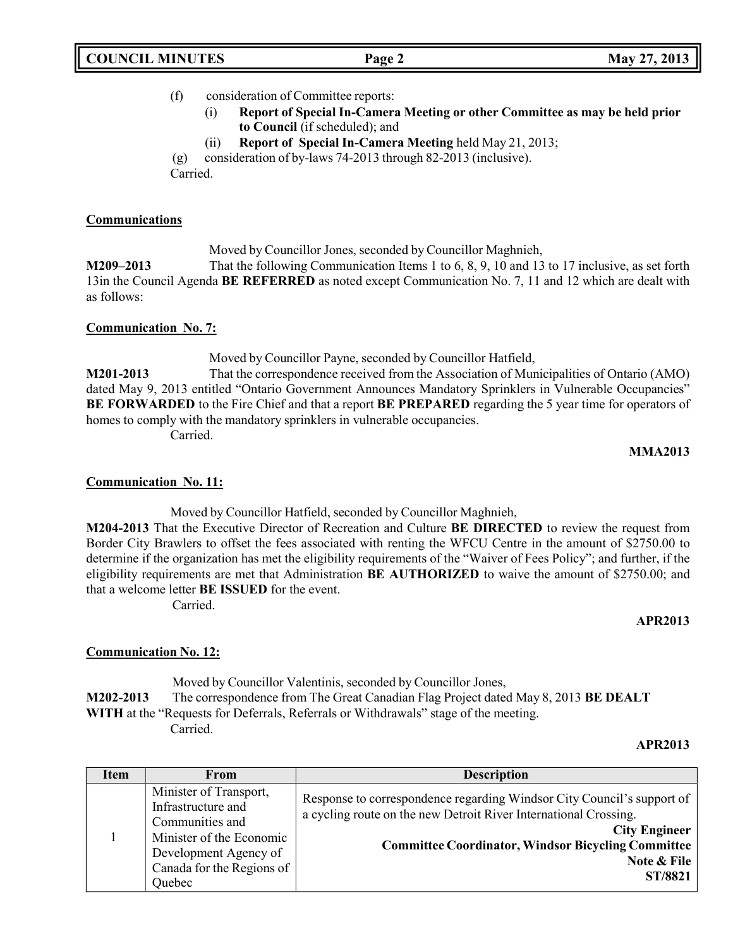| <b>COUNCIL MINUTES</b> |  |
|------------------------|--|
|------------------------|--|

# (f) consideration of Committee reports:

- (i) **Report of Special In-Camera Meeting or other Committee as may be held prior to Council** (if scheduled); and
- (ii) **Report of Special In-Camera Meeting** held May 21, 2013;

(g) consideration of by-laws 74-2013 through 82-2013 (inclusive).

Carried.

# **Communications**

Moved by Councillor Jones, seconded by Councillor Maghnieh,

**M209–2013** That the following Communication Items 1 to 6, 8, 9, 10 and 13 to 17 inclusive, as set forth 13in the Council Agenda **BE REFERRED** as noted except Communication No. 7, 11 and 12 which are dealt with as follows:

# **Communication No. 7:**

Moved by Councillor Payne, seconded by Councillor Hatfield,

**M201-2013** That the correspondence received from the Association of Municipalities of Ontario (AMO) dated May 9, 2013 entitled "Ontario Government Announces Mandatory Sprinklers in Vulnerable Occupancies" **BE FORWARDED** to the Fire Chief and that a report **BE PREPARED** regarding the 5 year time for operators of homes to comply with the mandatory sprinklers in vulnerable occupancies. Carried.

**MMA2013**

# **Communication No. 11:**

Moved by Councillor Hatfield, seconded by Councillor Maghnieh, **M204-2013** That the Executive Director of Recreation and Culture **BE DIRECTED** to review the request from Border City Brawlers to offset the fees associated with renting the WFCU Centre in the amount of \$2750.00 to determine if the organization has met the eligibility requirements of the "Waiver of Fees Policy"; and further, if the eligibility requirements are met that Administration **BE AUTHORIZED** to waive the amount of \$2750.00; and that a welcome letter **BE ISSUED** for the event. Carried.

# **APR2013**

# **Communication No. 12:**

Moved by Councillor Valentinis, seconded by Councillor Jones, **M202-2013** The correspondence from The Great Canadian Flag Project dated May 8, 2013 **BE DEALT WITH** at the "Requests for Deferrals, Referrals or Withdrawals" stage of the meeting. Carried.

# **APR2013**

| <b>Item</b> | From                                                                                                                                                        | <b>Description</b>                                                                                                                                                                                                                                        |
|-------------|-------------------------------------------------------------------------------------------------------------------------------------------------------------|-----------------------------------------------------------------------------------------------------------------------------------------------------------------------------------------------------------------------------------------------------------|
|             | Minister of Transport,<br>Infrastructure and<br>Communities and<br>Minister of the Economic<br>Development Agency of<br>Canada for the Regions of<br>Ouebec | Response to correspondence regarding Windsor City Council's support of<br>a cycling route on the new Detroit River International Crossing.<br><b>City Engineer</b><br><b>Committee Coordinator, Windsor Bicycling Committee</b><br>Note & File<br>ST/8821 |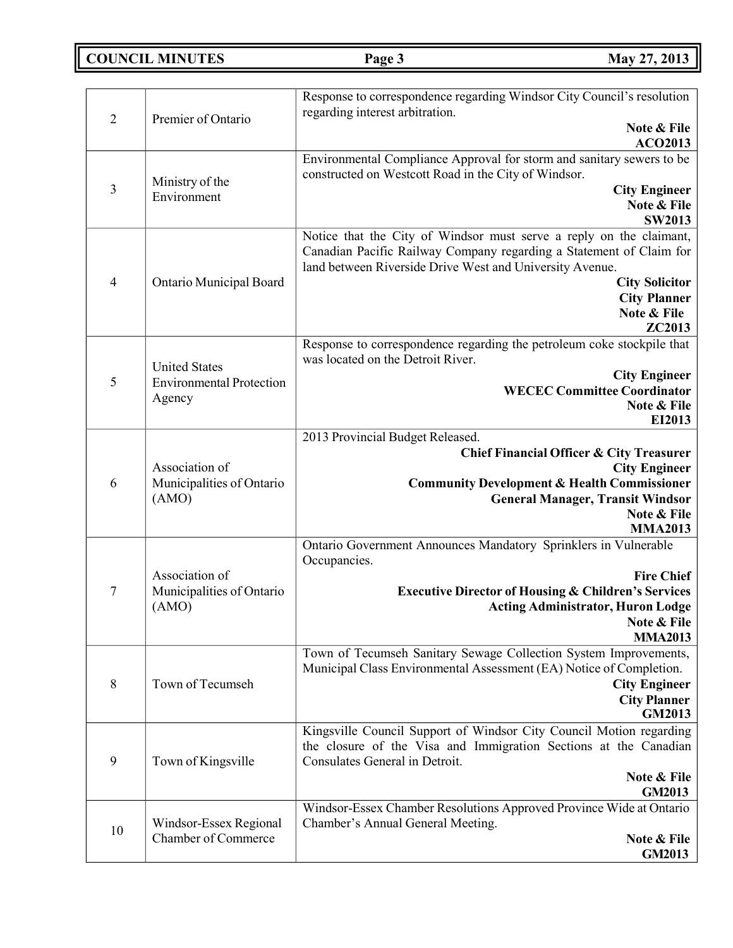**COUNCIL MINUTES Page 3 May 27, 2013**

| $\overline{2}$ | Premier of Ontario                                                | Response to correspondence regarding Windsor City Council's resolution<br>regarding interest arbitration.<br>Note & File<br><b>ACO2013</b>                                                                                                                                      |
|----------------|-------------------------------------------------------------------|---------------------------------------------------------------------------------------------------------------------------------------------------------------------------------------------------------------------------------------------------------------------------------|
| 3              | Ministry of the<br>Environment                                    | Environmental Compliance Approval for storm and sanitary sewers to be<br>constructed on Westcott Road in the City of Windsor.<br><b>City Engineer</b><br>Note & File<br><b>SW2013</b>                                                                                           |
| $\overline{4}$ | <b>Ontario Municipal Board</b>                                    | Notice that the City of Windsor must serve a reply on the claimant,<br>Canadian Pacific Railway Company regarding a Statement of Claim for<br>land between Riverside Drive West and University Avenue.<br><b>City Solicitor</b><br><b>City Planner</b><br>Note & File<br>ZC2013 |
| 5              | <b>United States</b><br><b>Environmental Protection</b><br>Agency | Response to correspondence regarding the petroleum coke stockpile that<br>was located on the Detroit River.<br><b>City Engineer</b><br><b>WECEC Committee Coordinator</b><br>Note & File<br>EI2013                                                                              |
| 6              | Association of<br>Municipalities of Ontario<br>(AMO)              | 2013 Provincial Budget Released.<br>Chief Financial Officer & City Treasurer<br><b>City Engineer</b><br><b>Community Development &amp; Health Commissioner</b><br><b>General Manager, Transit Windsor</b><br>Note & File<br><b>MMA2013</b>                                      |
| 7              | Association of<br>Municipalities of Ontario<br>(AMO)              | Ontario Government Announces Mandatory Sprinklers in Vulnerable<br>Occupancies.<br><b>Fire Chief</b><br><b>Executive Director of Housing &amp; Children's Services</b><br><b>Acting Administrator, Huron Lodge</b><br>Note & File<br><b>MMA2013</b>                             |
| 8              | Town of Tecumseh                                                  | Town of Tecumseh Sanitary Sewage Collection System Improvements,<br>Municipal Class Environmental Assessment (EA) Notice of Completion.<br><b>City Engineer</b><br><b>City Planner</b><br>GM2013                                                                                |
| 9              | Town of Kingsville                                                | Kingsville Council Support of Windsor City Council Motion regarding<br>the closure of the Visa and Immigration Sections at the Canadian<br>Consulates General in Detroit.<br>Note & File<br><b>GM2013</b>                                                                       |
| 10             | Windsor-Essex Regional<br><b>Chamber of Commerce</b>              | Windsor-Essex Chamber Resolutions Approved Province Wide at Ontario<br>Chamber's Annual General Meeting.<br>Note & File<br>GM2013                                                                                                                                               |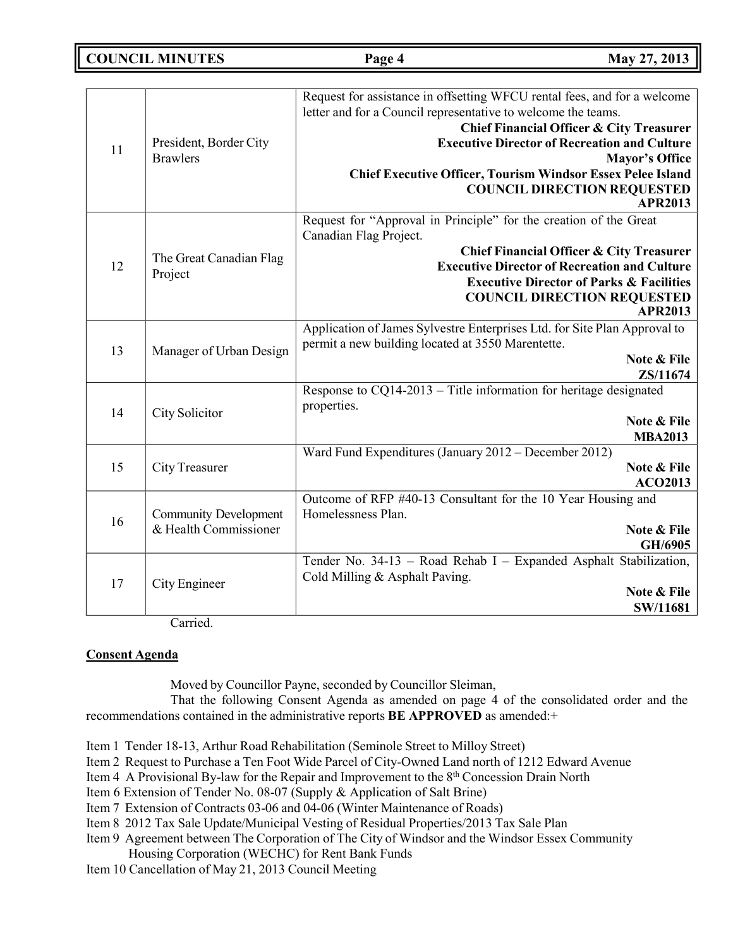**COUNCIL MINUTES Page 4 May 27, 2013**

| 11 | President, Border City<br><b>Brawlers</b>             | Request for assistance in offsetting WFCU rental fees, and for a welcome<br>letter and for a Council representative to welcome the teams.<br><b>Chief Financial Officer &amp; City Treasurer</b><br><b>Executive Director of Recreation and Culture</b><br><b>Mayor's Office</b><br><b>Chief Executive Officer, Tourism Windsor Essex Pelee Island</b><br><b>COUNCIL DIRECTION REQUESTED</b><br><b>APR2013</b> |
|----|-------------------------------------------------------|----------------------------------------------------------------------------------------------------------------------------------------------------------------------------------------------------------------------------------------------------------------------------------------------------------------------------------------------------------------------------------------------------------------|
| 12 | The Great Canadian Flag<br>Project                    | Request for "Approval in Principle" for the creation of the Great<br>Canadian Flag Project.<br><b>Chief Financial Officer &amp; City Treasurer</b><br><b>Executive Director of Recreation and Culture</b><br><b>Executive Director of Parks &amp; Facilities</b><br><b>COUNCIL DIRECTION REQUESTED</b><br><b>APR2013</b>                                                                                       |
| 13 | Manager of Urban Design                               | Application of James Sylvestre Enterprises Ltd. for Site Plan Approval to<br>permit a new building located at 3550 Marentette.<br>Note & File<br>ZS/11674                                                                                                                                                                                                                                                      |
| 14 | City Solicitor                                        | Response to CQ14-2013 - Title information for heritage designated<br>properties.<br>Note & File<br><b>MBA2013</b>                                                                                                                                                                                                                                                                                              |
| 15 | <b>City Treasurer</b>                                 | Ward Fund Expenditures (January 2012 – December 2012)<br>Note & File<br><b>ACO2013</b>                                                                                                                                                                                                                                                                                                                         |
| 16 | <b>Community Development</b><br>& Health Commissioner | Outcome of RFP #40-13 Consultant for the 10 Year Housing and<br>Homelessness Plan.<br>Note & File<br>GH/6905                                                                                                                                                                                                                                                                                                   |
| 17 | City Engineer                                         | Tender No. 34-13 - Road Rehab I - Expanded Asphalt Stabilization,<br>Cold Milling & Asphalt Paving.<br>Note & File<br>SW/11681                                                                                                                                                                                                                                                                                 |

Carried.

# **Consent Agenda**

Moved by Councillor Payne, seconded by Councillor Sleiman,

That the following Consent Agenda as amended on page 4 of the consolidated order and the recommendations contained in the administrative reports **BE APPROVED** as amended:+

- Item 1 Tender 18-13, Arthur Road Rehabilitation (Seminole Street to Milloy Street)
- Item 2 Request to Purchase a Ten Foot Wide Parcel of City-Owned Land north of 1212 Edward Avenue
- Item 4 A Provisional By-law for the Repair and Improvement to the 8<sup>th</sup> Concession Drain North
- Item 6 Extension of Tender No. 08-07 (Supply & Application of Salt Brine)
- Item 7 Extension of Contracts 03-06 and 04-06 (Winter Maintenance of Roads)
- Item 8 2012 Tax Sale Update/Municipal Vesting of Residual Properties/2013 Tax Sale Plan
- Item 9 Agreement between The Corporation of The City of Windsor and the Windsor Essex Community Housing Corporation (WECHC) for Rent Bank Funds
- Item 10 Cancellation of May 21, 2013 Council Meeting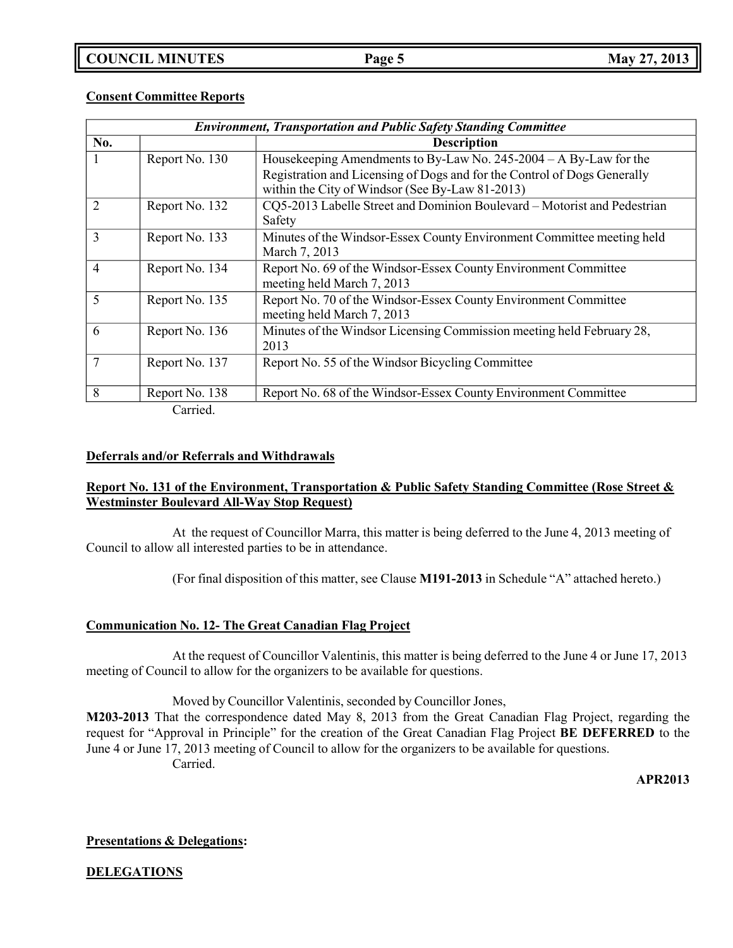# **COUNCIL MINUTES Page 5 May 27, 2013**

## **Consent Committee Reports**

| <b>Environment, Transportation and Public Safety Standing Committee</b> |                  |                                                                          |
|-------------------------------------------------------------------------|------------------|--------------------------------------------------------------------------|
| No.                                                                     |                  | <b>Description</b>                                                       |
| 1                                                                       | Report No. 130   | Housekeeping Amendments to By-Law No. $245-2004 - A$ By-Law for the      |
|                                                                         |                  | Registration and Licensing of Dogs and for the Control of Dogs Generally |
|                                                                         |                  | within the City of Windsor (See By-Law 81-2013)                          |
| 2                                                                       | Report No. 132   | CQ5-2013 Labelle Street and Dominion Boulevard - Motorist and Pedestrian |
|                                                                         |                  | Safety                                                                   |
| $\overline{3}$                                                          | Report No. 133   | Minutes of the Windsor-Essex County Environment Committee meeting held   |
|                                                                         |                  | March 7, 2013                                                            |
| $\overline{4}$                                                          | Report No. 134   | Report No. 69 of the Windsor-Essex County Environment Committee          |
|                                                                         |                  | meeting held March 7, 2013                                               |
| 5                                                                       | Report No. 135   | Report No. 70 of the Windsor-Essex County Environment Committee          |
|                                                                         |                  | meeting held March 7, 2013                                               |
| 6                                                                       | Report No. 136   | Minutes of the Windsor Licensing Commission meeting held February 28,    |
|                                                                         |                  | 2013                                                                     |
| $\overline{7}$                                                          | Report No. 137   | Report No. 55 of the Windsor Bicycling Committee                         |
|                                                                         |                  |                                                                          |
| 8                                                                       | Report No. 138   | Report No. 68 of the Windsor-Essex County Environment Committee          |
|                                                                         | C <sub>omi</sub> |                                                                          |

Carried.

### **Deferrals and/or Referrals and Withdrawals**

# **Report No. 131 of the Environment, Transportation & Public Safety Standing Committee (Rose Street & Westminster Boulevard All-Way Stop Request)**

At the request of Councillor Marra, this matter is being deferred to the June 4, 2013 meeting of Council to allow all interested parties to be in attendance.

(For final disposition of this matter, see Clause **M191-2013** in Schedule "A" attached hereto.)

### **Communication No. 12- The Great Canadian Flag Project**

At the request of Councillor Valentinis, this matter is being deferred to the June 4 or June 17, 2013 meeting of Council to allow for the organizers to be available for questions.

Moved by Councillor Valentinis, seconded by Councillor Jones,

**M203-2013** That the correspondence dated May 8, 2013 from the Great Canadian Flag Project, regarding the request for "Approval in Principle" for the creation of the Great Canadian Flag Project **BE DEFERRED** to the June 4 or June 17, 2013 meeting of Council to allow for the organizers to be available for questions. Carried.

**APR2013**

#### **Presentations & Delegations:**

**DELEGATIONS**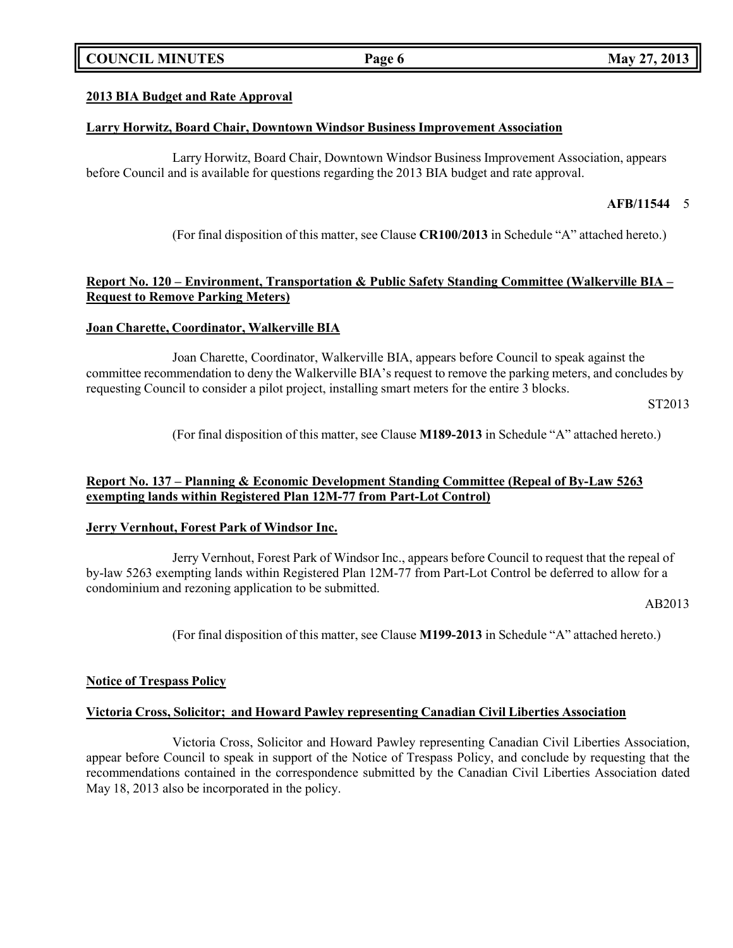# **COUNCIL MINUTES Page 6 May 27, 2013**

### **2013 BIA Budget and Rate Approval**

#### **Larry Horwitz, Board Chair, Downtown Windsor Business Improvement Association**

Larry Horwitz, Board Chair, Downtown Windsor Business Improvement Association, appears before Council and is available for questions regarding the 2013 BIA budget and rate approval.

#### **AFB/11544** 5

(For final disposition of this matter, see Clause **CR100/2013** in Schedule "A" attached hereto.)

## **Report No. 120 – Environment, Transportation & Public Safety Standing Committee (Walkerville BIA – Request to Remove Parking Meters)**

#### **Joan Charette, Coordinator, Walkerville BIA**

Joan Charette, Coordinator, Walkerville BIA, appears before Council to speak against the committee recommendation to deny the Walkerville BIA's request to remove the parking meters, and concludes by requesting Council to consider a pilot project, installing smart meters for the entire 3 blocks.

ST2013

(For final disposition of this matter, see Clause **M189-2013** in Schedule "A" attached hereto.)

### **Report No. 137 – Planning & Economic Development Standing Committee (Repeal of By-Law 5263 exempting lands within Registered Plan 12M-77 from Part-Lot Control)**

#### **Jerry Vernhout, Forest Park of Windsor Inc.**

Jerry Vernhout, Forest Park of Windsor Inc., appears before Council to request that the repeal of by-law 5263 exempting lands within Registered Plan 12M-77 from Part-Lot Control be deferred to allow for a condominium and rezoning application to be submitted.

AB2013

(For final disposition of this matter, see Clause **M199-2013** in Schedule "A" attached hereto.)

#### **Notice of Trespass Policy**

#### **Victoria Cross, Solicitor; and Howard Pawley representing Canadian Civil Liberties Association**

Victoria Cross, Solicitor and Howard Pawley representing Canadian Civil Liberties Association, appear before Council to speak in support of the Notice of Trespass Policy, and conclude by requesting that the recommendations contained in the correspondence submitted by the Canadian Civil Liberties Association dated May 18, 2013 also be incorporated in the policy.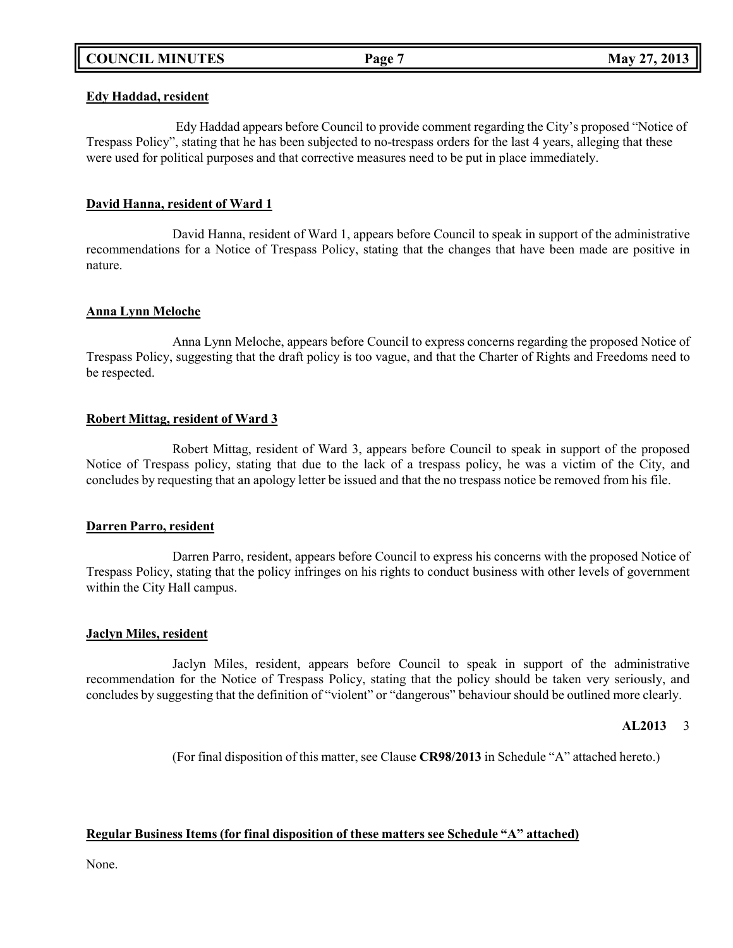# **COUNCIL MINUTES Page 7 May 27, 2013**

#### **Edy Haddad, resident**

Edy Haddad appears before Council to provide comment regarding the City's proposed "Notice of Trespass Policy", stating that he has been subjected to no-trespass orders for the last 4 years, alleging that these were used for political purposes and that corrective measures need to be put in place immediately.

### **David Hanna, resident of Ward 1**

David Hanna, resident of Ward 1, appears before Council to speak in support of the administrative recommendations for a Notice of Trespass Policy, stating that the changes that have been made are positive in nature.

#### **Anna Lynn Meloche**

Anna Lynn Meloche, appears before Council to express concerns regarding the proposed Notice of Trespass Policy, suggesting that the draft policy is too vague, and that the Charter of Rights and Freedoms need to be respected.

#### **Robert Mittag, resident of Ward 3**

Robert Mittag, resident of Ward 3, appears before Council to speak in support of the proposed Notice of Trespass policy, stating that due to the lack of a trespass policy, he was a victim of the City, and concludes by requesting that an apology letter be issued and that the no trespass notice be removed from his file.

#### **Darren Parro, resident**

Darren Parro, resident, appears before Council to express his concerns with the proposed Notice of Trespass Policy, stating that the policy infringes on his rights to conduct business with other levels of government within the City Hall campus.

#### **Jaclyn Miles, resident**

Jaclyn Miles, resident, appears before Council to speak in support of the administrative recommendation for the Notice of Trespass Policy, stating that the policy should be taken very seriously, and concludes by suggesting that the definition of "violent" or "dangerous" behaviour should be outlined more clearly.

#### **AL2013** 3

(For final disposition of this matter, see Clause **CR98/2013** in Schedule "A" attached hereto.)

### **Regular Business Items (for final disposition of these matters see Schedule "A" attached)**

None.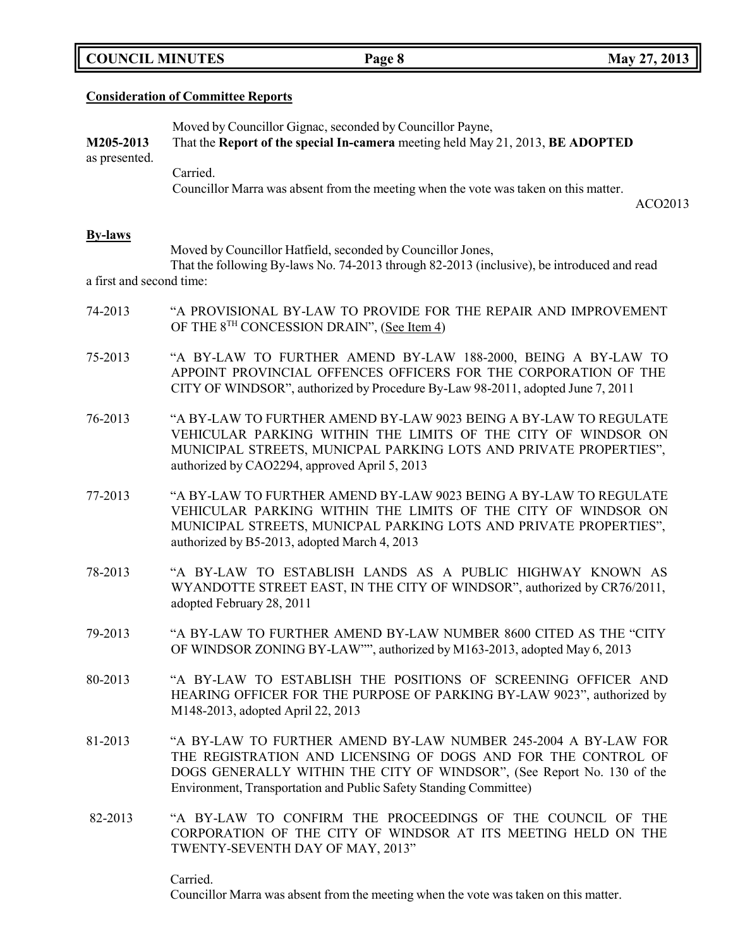| <b>COUNCIL MINUTES</b> |  |
|------------------------|--|
|------------------------|--|

# **Consideration of Committee Reports**

| M205-2013<br>as presented. | Moved by Councillor Gignac, seconded by Councillor Payne,<br>That the Report of the special In-camera meeting held May 21, 2013, BE ADOPTED                                                                                                                                    |  |  |
|----------------------------|--------------------------------------------------------------------------------------------------------------------------------------------------------------------------------------------------------------------------------------------------------------------------------|--|--|
|                            | Carried.<br>Councillor Marra was absent from the meeting when the vote was taken on this matter.<br>ACO2013                                                                                                                                                                    |  |  |
| <b>By-laws</b>             |                                                                                                                                                                                                                                                                                |  |  |
| a first and second time:   | Moved by Councillor Hatfield, seconded by Councillor Jones,<br>That the following By-laws No. 74-2013 through 82-2013 (inclusive), be introduced and read                                                                                                                      |  |  |
| 74-2013                    | "A PROVISIONAL BY-LAW TO PROVIDE FOR THE REPAIR AND IMPROVEMENT<br>OF THE $8^{TH}$ CONCESSION DRAIN", (See Item 4)                                                                                                                                                             |  |  |
| 75-2013                    | "A BY-LAW TO FURTHER AMEND BY-LAW 188-2000, BEING A BY-LAW TO<br>APPOINT PROVINCIAL OFFENCES OFFICERS FOR THE CORPORATION OF THE<br>CITY OF WINDSOR", authorized by Procedure By-Law 98-2011, adopted June 7, 2011                                                             |  |  |
| 76-2013                    | "A BY-LAW TO FURTHER AMEND BY-LAW 9023 BEING A BY-LAW TO REGULATE<br>VEHICULAR PARKING WITHIN THE LIMITS OF THE CITY OF WINDSOR ON<br>MUNICIPAL STREETS, MUNICPAL PARKING LOTS AND PRIVATE PROPERTIES",<br>authorized by CAO2294, approved April 5, 2013                       |  |  |
| 77-2013                    | "A BY-LAW TO FURTHER AMEND BY-LAW 9023 BEING A BY-LAW TO REGULATE<br>VEHICULAR PARKING WITHIN THE LIMITS OF THE CITY OF WINDSOR ON<br>MUNICIPAL STREETS, MUNICPAL PARKING LOTS AND PRIVATE PROPERTIES",<br>authorized by B5-2013, adopted March 4, 2013                        |  |  |
| 78-2013                    | "A BY-LAW TO ESTABLISH LANDS AS A PUBLIC HIGHWAY KNOWN AS<br>WYANDOTTE STREET EAST, IN THE CITY OF WINDSOR", authorized by CR76/2011,<br>adopted February 28, 2011                                                                                                             |  |  |
| 79-2013                    | "A BY-LAW TO FURTHER AMEND BY-LAW NUMBER 8600 CITED AS THE "CITY<br>OF WINDSOR ZONING BY-LAW"", authorized by M163-2013, adopted May 6, 2013                                                                                                                                   |  |  |
| 80-2013                    | "A BY-LAW TO ESTABLISH THE POSITIONS OF SCREENING OFFICER AND<br>HEARING OFFICER FOR THE PURPOSE OF PARKING BY-LAW 9023", authorized by<br>M148-2013, adopted April 22, 2013                                                                                                   |  |  |
| 81-2013                    | "A BY-LAW TO FURTHER AMEND BY-LAW NUMBER 245-2004 A BY-LAW FOR<br>THE REGISTRATION AND LICENSING OF DOGS AND FOR THE CONTROL OF<br>DOGS GENERALLY WITHIN THE CITY OF WINDSOR", (See Report No. 130 of the<br>Environment, Transportation and Public Safety Standing Committee) |  |  |
| 82-2013                    | "A BY-LAW TO CONFIRM THE PROCEEDINGS OF THE COUNCIL OF THE<br>CORPORATION OF THE CITY OF WINDSOR AT ITS MEETING HELD ON THE<br>TWENTY-SEVENTH DAY OF MAY, 2013"                                                                                                                |  |  |
|                            | Carried.                                                                                                                                                                                                                                                                       |  |  |

**COUNCIL Page 8 May** 27, 2013

Councillor Marra was absent from the meeting when the vote was taken on this matter.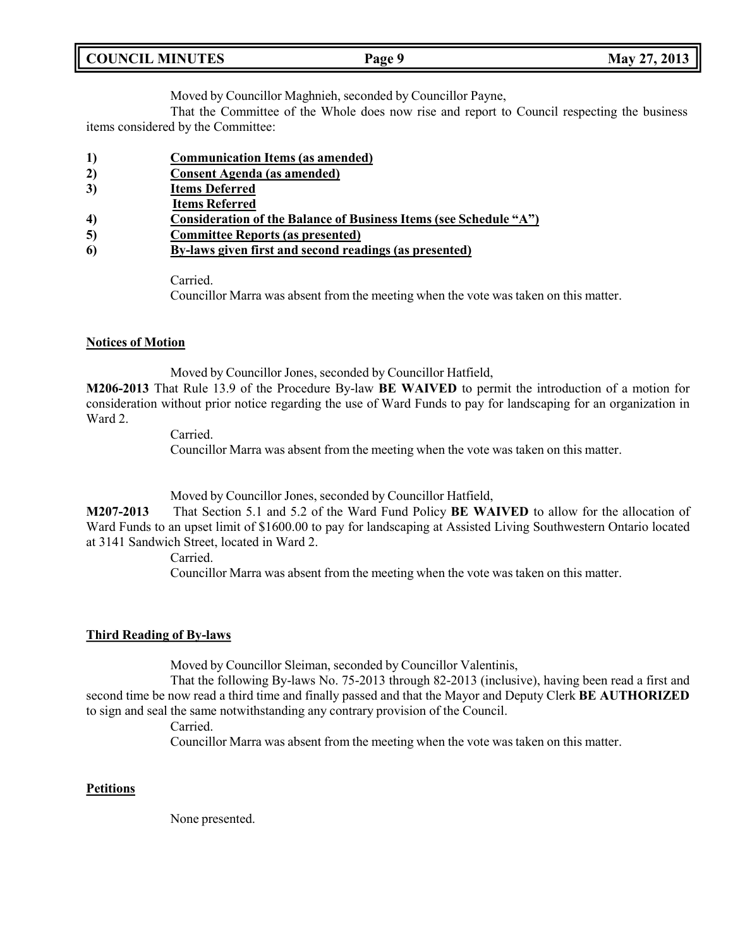| <b>COUNCIL MINUTES</b> | Page 9 | May 27, 2013 |
|------------------------|--------|--------------|
|                        |        |              |

Moved by Councillor Maghnieh, seconded by Councillor Payne,

That the Committee of the Whole does now rise and report to Council respecting the business items considered by the Committee:

- **1) Communication Items (as amended)**
- **2) Consent Agenda (as amended)**
- **3) Items Deferred**
- **Items Referred**
- **4) Consideration of the Balance of Business Items (see Schedule "A")**
- **5) Committee Reports (as presented)**
- **6) By-laws given first and second readings (as presented)**

Carried.

Councillor Marra was absent from the meeting when the vote was taken on this matter.

## **Notices of Motion**

Moved by Councillor Jones, seconded by Councillor Hatfield,

**M206-2013** That Rule 13.9 of the Procedure By-law **BE WAIVED** to permit the introduction of a motion for consideration without prior notice regarding the use of Ward Funds to pay for landscaping for an organization in Ward 2.

Carried.

Councillor Marra was absent from the meeting when the vote was taken on this matter.

Moved by Councillor Jones, seconded by Councillor Hatfield,

**M207-2013** That Section 5.1 and 5.2 of the Ward Fund Policy **BE WAIVED** to allow for the allocation of Ward Funds to an upset limit of \$1600.00 to pay for landscaping at Assisted Living Southwestern Ontario located at 3141 Sandwich Street, located in Ward 2.

Carried.

Councillor Marra was absent from the meeting when the vote was taken on this matter.

### **Third Reading of By-laws**

Moved by Councillor Sleiman, seconded by Councillor Valentinis,

That the following By-laws No. 75-2013 through 82-2013 (inclusive), having been read a first and second time be now read a third time and finally passed and that the Mayor and Deputy Clerk **BE AUTHORIZED** to sign and seal the same notwithstanding any contrary provision of the Council.

Carried.

Councillor Marra was absent from the meeting when the vote was taken on this matter.

### **Petitions**

None presented.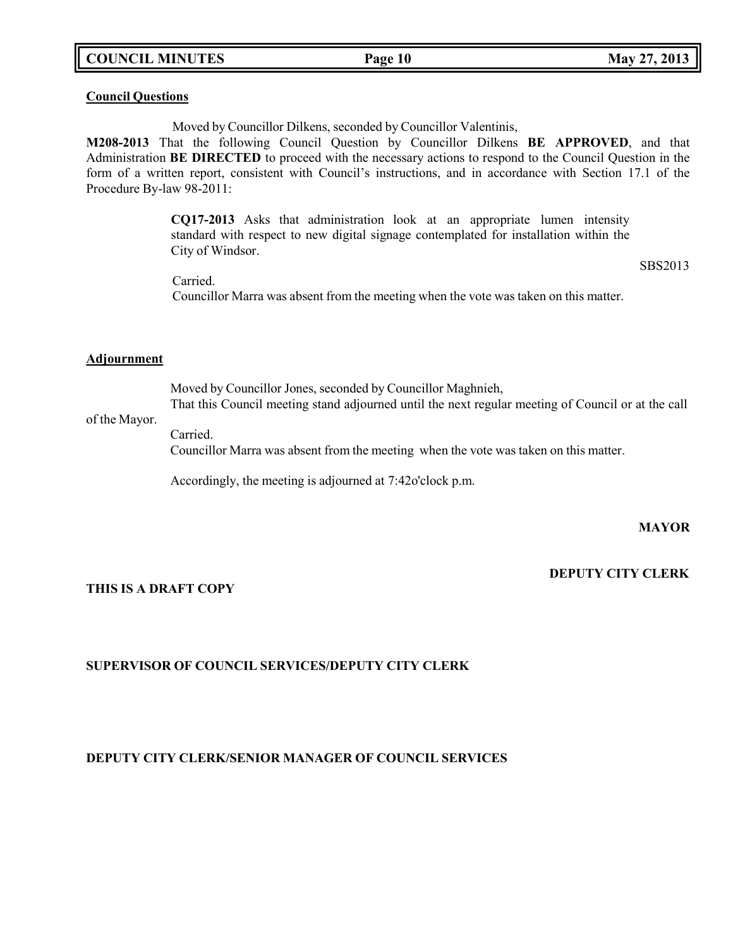## **COUNCIL MINUTES Page 10 May 27, 2013**

#### **Council Questions**

Moved by Councillor Dilkens, seconded by Councillor Valentinis,

**M208-2013** That the following Council Question by Councillor Dilkens **BE APPROVED**, and that Administration **BE DIRECTED** to proceed with the necessary actions to respond to the Council Question in the form of a written report, consistent with Council's instructions, and in accordance with Section 17.1 of the Procedure By-law 98-2011:

> **CQ17-2013** Asks that administration look at an appropriate lumen intensity standard with respect to new digital signage contemplated for installation within the City of Windsor.

> > SBS2013

Carried. Councillor Marra was absent from the meeting when the vote was taken on this matter.

#### **Adjournment**

Moved by Councillor Jones, seconded by Councillor Maghnieh, That this Council meeting stand adjourned until the next regular meeting of Council or at the call

#### of the Mayor.

Carried.

Councillor Marra was absent from the meeting when the vote was taken on this matter.

Accordingly, the meeting is adjourned at 7:42o'clock p.m.

**MAYOR**

# **DEPUTY CITY CLERK**

### **THIS IS A DRAFT COPY**

## **SUPERVISOR OF COUNCIL SERVICES/DEPUTY CITY CLERK**

## **DEPUTY CITY CLERK/SENIOR MANAGER OF COUNCIL SERVICES**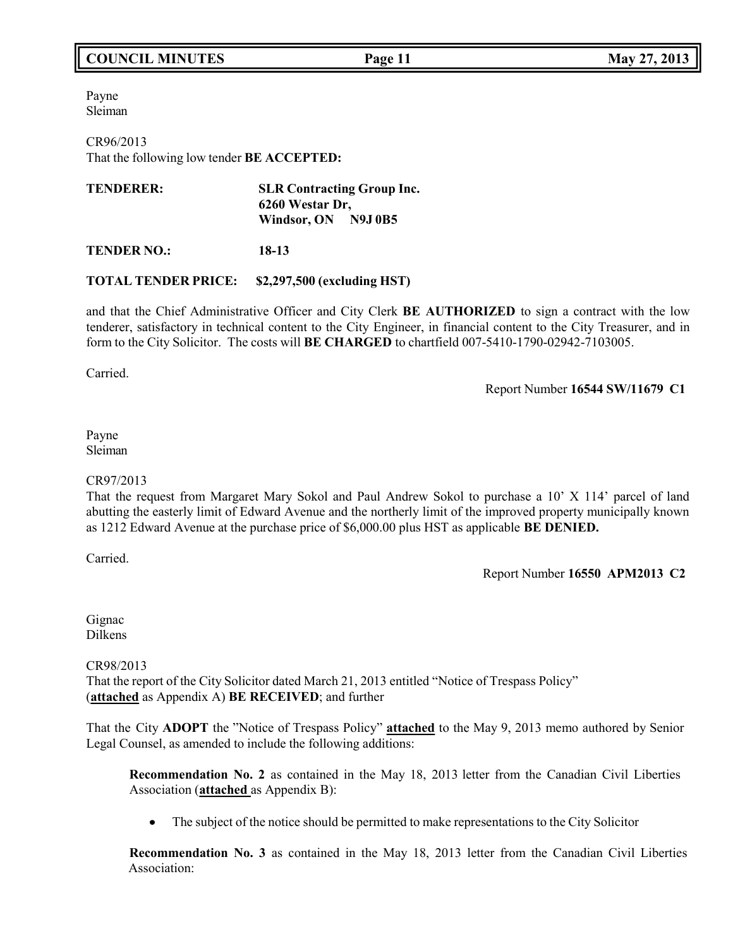# **COUNCIL MINUTES Page 11 May 27, 2013**

Payne Sleiman

CR96/2013 That the following low tender **BE ACCEPTED:**

| <b>TENDERER:</b> | <b>SLR Contracting Group Inc.</b> |  |
|------------------|-----------------------------------|--|
|                  | 6260 Westar Dr.                   |  |
|                  | Windsor, ON N9J0B5                |  |

**TENDER NO.: 18-13**

### **TOTAL TENDER PRICE: \$2,297,500 (excluding HST)**

and that the Chief Administrative Officer and City Clerk **BE AUTHORIZED** to sign a contract with the low tenderer, satisfactory in technical content to the City Engineer, in financial content to the City Treasurer, and in form to the City Solicitor. The costs will **BE CHARGED** to chartfield 007-5410-1790-02942-7103005.

Carried.

Report Number **16544 SW/11679 C1**

#### Payne Sleiman

### CR97/2013

That the request from Margaret Mary Sokol and Paul Andrew Sokol to purchase a 10' X 114' parcel of land abutting the easterly limit of Edward Avenue and the northerly limit of the improved property municipally known as 1212 Edward Avenue at the purchase price of \$6,000.00 plus HST as applicable **BE DENIED.**

Carried.

Report Number **16550 APM2013 C2**

Gignac Dilkens

CR98/2013 That the report of the City Solicitor dated March 21, 2013 entitled "Notice of Trespass Policy" (**attached** as Appendix A) **BE RECEIVED**; and further

That the City **ADOPT** the "Notice of Trespass Policy" **attached** to the May 9, 2013 memo authored by Senior Legal Counsel, as amended to include the following additions:

**Recommendation No. 2** as contained in the May 18, 2013 letter from the Canadian Civil Liberties Association (**attached** as Appendix B):

 $\bullet$ The subject of the notice should be permitted to make representations to the City Solicitor

**Recommendation No. 3** as contained in the May 18, 2013 letter from the Canadian Civil Liberties Association: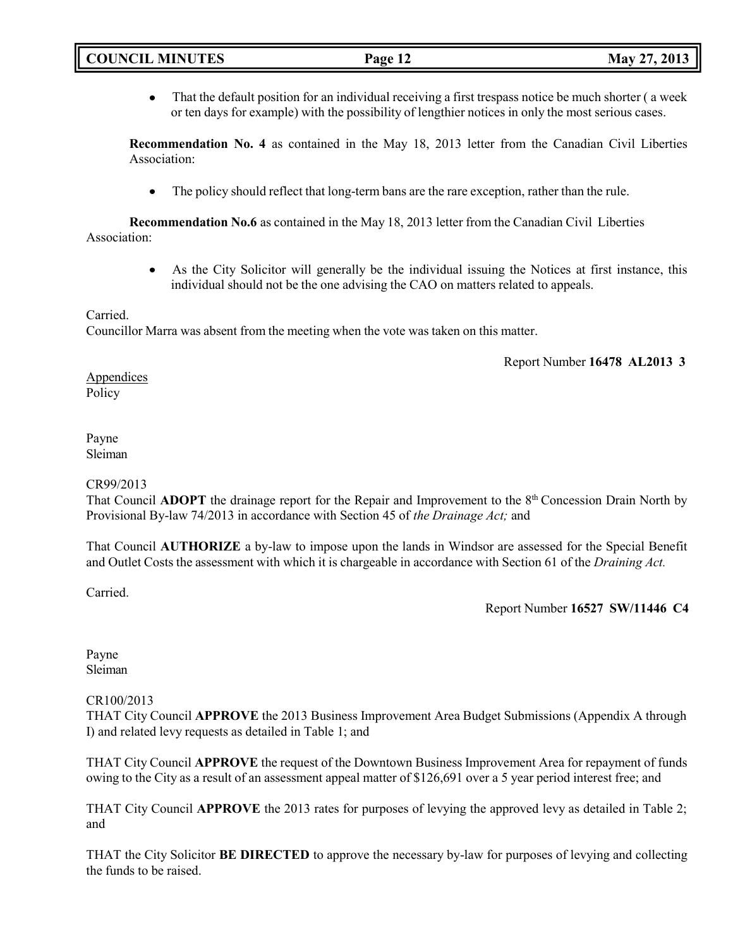That the default position for an individual receiving a first trespass notice be much shorter ( a week or ten days for example) with the possibility of lengthier notices in only the most serious cases.

**Recommendation No. 4** as contained in the May 18, 2013 letter from the Canadian Civil Liberties Association:

 The policy should reflect that long-term bans are the rare exception, rather than the rule.  $\bullet$ 

**Recommendation No.6** as contained in the May 18, 2013 letter from the Canadian Civil Liberties Association:

> As the City Solicitor will generally be the individual issuing the Notices at first instance, this  $\bullet$ individual should not be the one advising the CAO on matters related to appeals.

### Carried.

Councillor Marra was absent from the meeting when the vote was taken on this matter.

Report Number **16478 AL2013 3**

Appendices Policy

#### Payne Sleiman

### CR99/2013

That Council ADOPT the drainage report for the Repair and Improvement to the 8<sup>th</sup> Concession Drain North by Provisional By-law 74/2013 in accordance with Section 45 of *the Drainage Act;* and

That Council **AUTHORIZE** a by-law to impose upon the lands in Windsor are assessed for the Special Benefit and Outlet Costs the assessment with which it is chargeable in accordance with Section 61 of the *Draining Act.*

Carried.

Report Number **16527 SW/11446 C4**

Payne Sleiman

# CR100/2013

THAT City Council **APPROVE** the 2013 Business Improvement Area Budget Submissions (Appendix A through I) and related levy requests as detailed in Table 1; and

THAT City Council **APPROVE** the request of the Downtown Business Improvement Area for repayment of funds owing to the City as a result of an assessment appeal matter of \$126,691 over a 5 year period interest free; and

THAT City Council **APPROVE** the 2013 rates for purposes of levying the approved levy as detailed in Table 2; and

THAT the City Solicitor **BE DIRECTED** to approve the necessary by-law for purposes of levying and collecting the funds to be raised.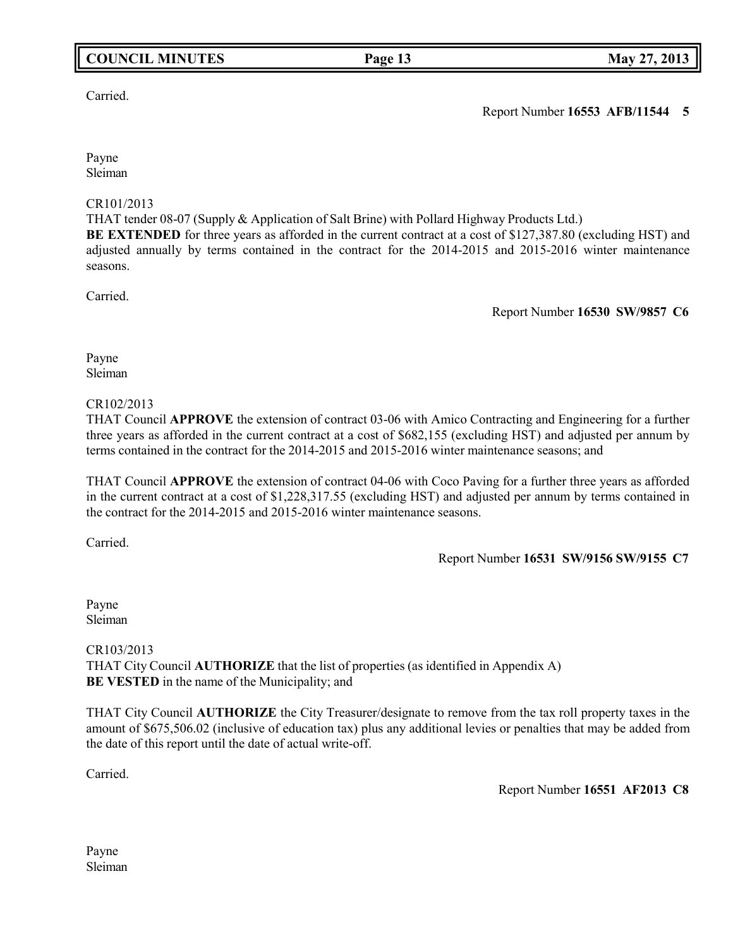# **COUNCIL MINUTES Page 13 May 27, 2013**

## Carried.

Payne Sleiman

### CR101/2013

THAT tender 08-07 (Supply & Application of Salt Brine) with Pollard Highway Products Ltd.)

**BE EXTENDED** for three years as afforded in the current contract at a cost of \$127,387.80 (excluding HST) and adjusted annually by terms contained in the contract for the 2014-2015 and 2015-2016 winter maintenance seasons.

Carried.

Report Number **16530 SW/9857 C6**

Payne Sleiman

### CR102/2013

THAT Council **APPROVE** the extension of contract 03-06 with Amico Contracting and Engineering for a further three years as afforded in the current contract at a cost of \$682,155 (excluding HST) and adjusted per annum by terms contained in the contract for the 2014-2015 and 2015-2016 winter maintenance seasons; and

THAT Council **APPROVE** the extension of contract 04-06 with Coco Paving for a further three years as afforded in the current contract at a cost of \$1,228,317.55 (excluding HST) and adjusted per annum by terms contained in the contract for the 2014-2015 and 2015-2016 winter maintenance seasons.

Carried.

# Report Number **16531 SW/9156 SW/9155 C7**

Payne Sleiman

CR103/2013 THAT City Council **AUTHORIZE** that the list of properties (as identified in Appendix A) **BE VESTED** in the name of the Municipality; and

THAT City Council **AUTHORIZE** the City Treasurer/designate to remove from the tax roll property taxes in the amount of \$675,506.02 (inclusive of education tax) plus any additional levies or penalties that may be added from the date of this report until the date of actual write-off.

Carried.

Report Number **16551 AF2013 C8**

Payne Sleiman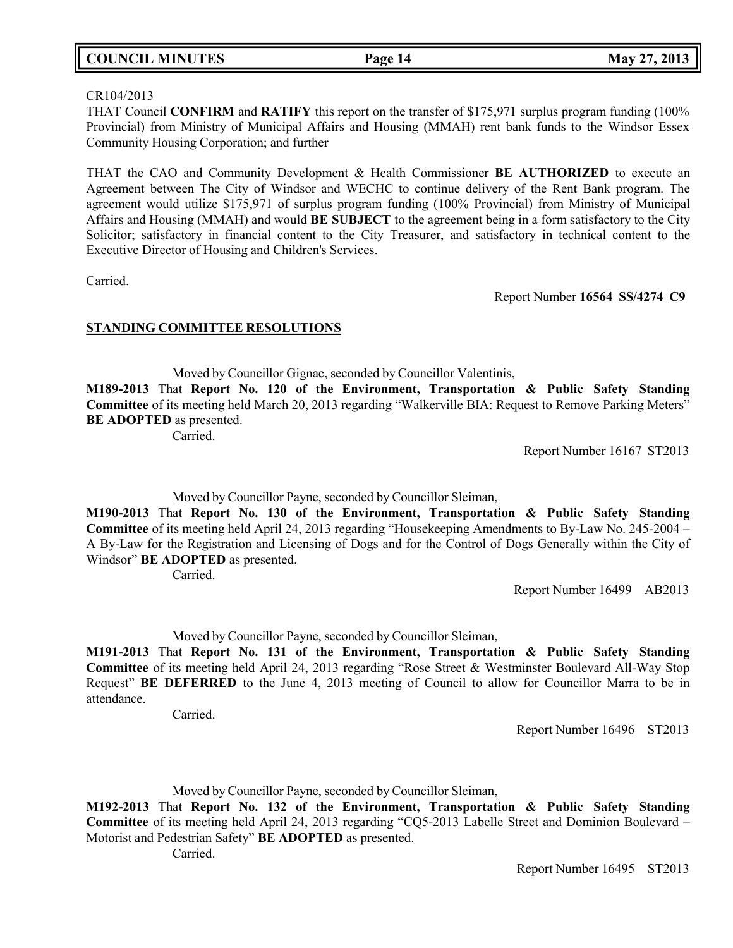# **COUNCIL MINUTES Page 14 May 27, 2013**

#### CR104/2013

THAT Council **CONFIRM** and **RATIFY** this report on the transfer of \$175,971 surplus program funding (100% Provincial) from Ministry of Municipal Affairs and Housing (MMAH) rent bank funds to the Windsor Essex Community Housing Corporation; and further

THAT the CAO and Community Development & Health Commissioner **BE AUTHORIZED** to execute an Agreement between The City of Windsor and WECHC to continue delivery of the Rent Bank program. The agreement would utilize \$175,971 of surplus program funding (100% Provincial) from Ministry of Municipal Affairs and Housing (MMAH) and would **BE SUBJECT** to the agreement being in a form satisfactory to the City Solicitor; satisfactory in financial content to the City Treasurer, and satisfactory in technical content to the Executive Director of Housing and Children's Services.

Carried.

Report Number **16564 SS/4274 C9**

#### **STANDING COMMITTEE RESOLUTIONS**

Moved by Councillor Gignac, seconded by Councillor Valentinis, **M189-2013** That **Report No. 120 of the Environment, Transportation & Public Safety Standing Committee** of its meeting held March 20, 2013 regarding "Walkerville BIA: Request to Remove Parking Meters" **BE ADOPTED** as presented.

Carried.

Report Number 16167 ST2013

Moved by Councillor Payne, seconded by Councillor Sleiman,

**M190-2013** That **Report No. 130 of the Environment, Transportation & Public Safety Standing Committee** of its meeting held April 24, 2013 regarding "Housekeeping Amendments to By-Law No. 245-2004 – A By-Law for the Registration and Licensing of Dogs and for the Control of Dogs Generally within the City of Windsor" **BE ADOPTED** as presented.

Carried.

Report Number 16499 AB2013

Moved by Councillor Payne, seconded by Councillor Sleiman,

**M191-2013** That **Report No. 131 of the Environment, Transportation & Public Safety Standing Committee** of its meeting held April 24, 2013 regarding "Rose Street & Westminster Boulevard All-Way Stop Request" **BE DEFERRED** to the June 4, 2013 meeting of Council to allow for Councillor Marra to be in attendance.

Carried.

Report Number 16496 ST2013

Moved by Councillor Payne, seconded by Councillor Sleiman,

**M192-2013** That **Report No. 132 of the Environment, Transportation & Public Safety Standing Committee** of its meeting held April 24, 2013 regarding "CQ5-2013 Labelle Street and Dominion Boulevard – Motorist and Pedestrian Safety" **BE ADOPTED** as presented.

Carried.

Report Number 16495 ST2013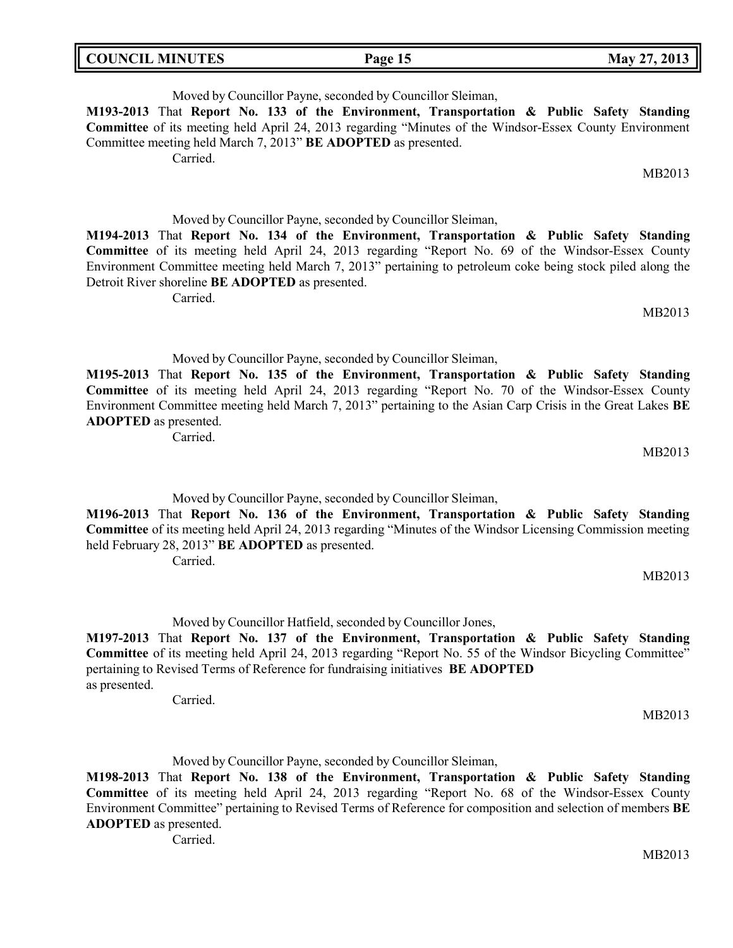| <b>COUNCIL MINUTES</b> | Page 15 | May 27, 2013 |
|------------------------|---------|--------------|
|                        |         |              |

Moved by Councillor Payne, seconded by Councillor Sleiman,

**M193-2013** That **Report No. 133 of the Environment, Transportation & Public Safety Standing Committee** of its meeting held April 24, 2013 regarding "Minutes of the Windsor-Essex County Environment Committee meeting held March 7, 2013" **BE ADOPTED** as presented.

Carried.

Moved by Councillor Payne, seconded by Councillor Sleiman,

**M194-2013** That **Report No. 134 of the Environment, Transportation & Public Safety Standing Committee** of its meeting held April 24, 2013 regarding "Report No. 69 of the Windsor-Essex County Environment Committee meeting held March 7, 2013" pertaining to petroleum coke being stock piled along the Detroit River shoreline **BE ADOPTED** as presented.

Carried.

MB2013

MB2013

MB2013

MB2013

Moved by Councillor Payne, seconded by Councillor Sleiman,

**M195-2013** That **Report No. 135 of the Environment, Transportation & Public Safety Standing Committee** of its meeting held April 24, 2013 regarding "Report No. 70 of the Windsor-Essex County Environment Committee meeting held March 7, 2013" pertaining to the Asian Carp Crisis in the Great Lakes **BE ADOPTED** as presented.

Carried.

Moved by Councillor Payne, seconded by Councillor Sleiman,

**M196-2013** That **Report No. 136 of the Environment, Transportation & Public Safety Standing Committee** of its meeting held April 24, 2013 regarding "Minutes of the Windsor Licensing Commission meeting held February 28, 2013" **BE ADOPTED** as presented.

Carried.

Moved by Councillor Hatfield, seconded by Councillor Jones,

**M197-2013** That **Report No. 137 of the Environment, Transportation & Public Safety Standing Committee** of its meeting held April 24, 2013 regarding "Report No. 55 of the Windsor Bicycling Committee" pertaining to Revised Terms of Reference for fundraising initiatives **BE ADOPTED** as presented.

Carried.

MB2013

Moved by Councillor Payne, seconded by Councillor Sleiman,

**M198-2013** That **Report No. 138 of the Environment, Transportation & Public Safety Standing Committee** of its meeting held April 24, 2013 regarding "Report No. 68 of the Windsor-Essex County Environment Committee" pertaining to Revised Terms of Reference for composition and selection of members **BE ADOPTED** as presented.

Carried.

MB2013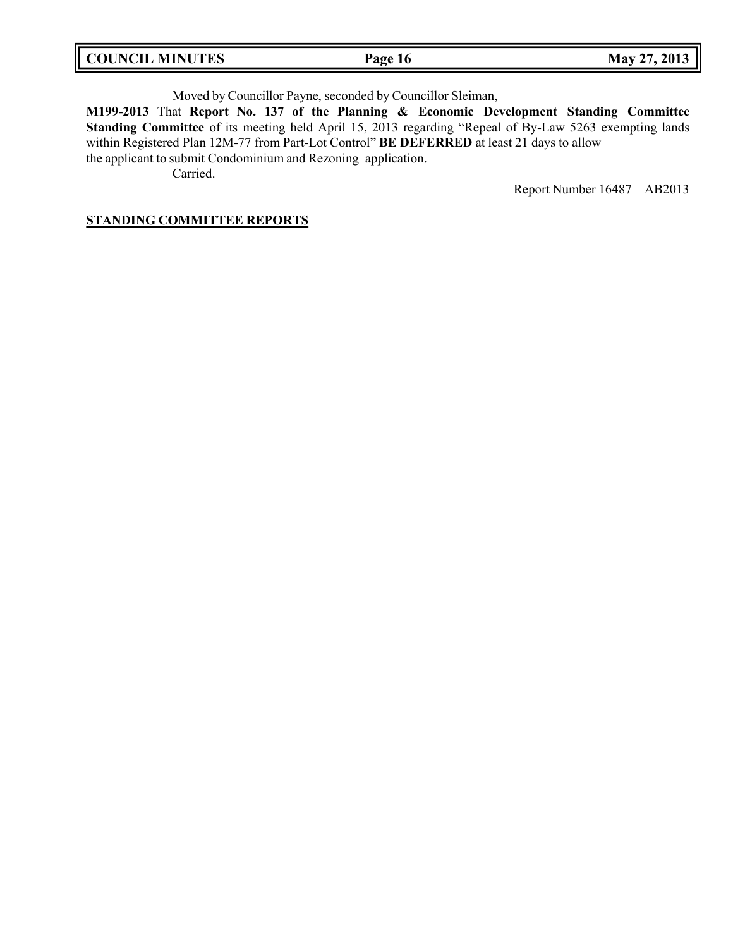| <b>COUNCIL MINUTES</b> | Page 16 | May 27, 2013 |
|------------------------|---------|--------------|
|                        |         |              |

Moved by Councillor Payne, seconded by Councillor Sleiman,

**M199-2013** That **Report No. 137 of the Planning & Economic Development Standing Committee Standing Committee** of its meeting held April 15, 2013 regarding "Repeal of By-Law 5263 exempting lands within Registered Plan 12M-77 from Part-Lot Control" **BE DEFERRED** at least 21 days to allow the applicant to submit Condominium and Rezoning application.

Carried.

Report Number 16487 AB2013

### **STANDING COMMITTEE REPORTS**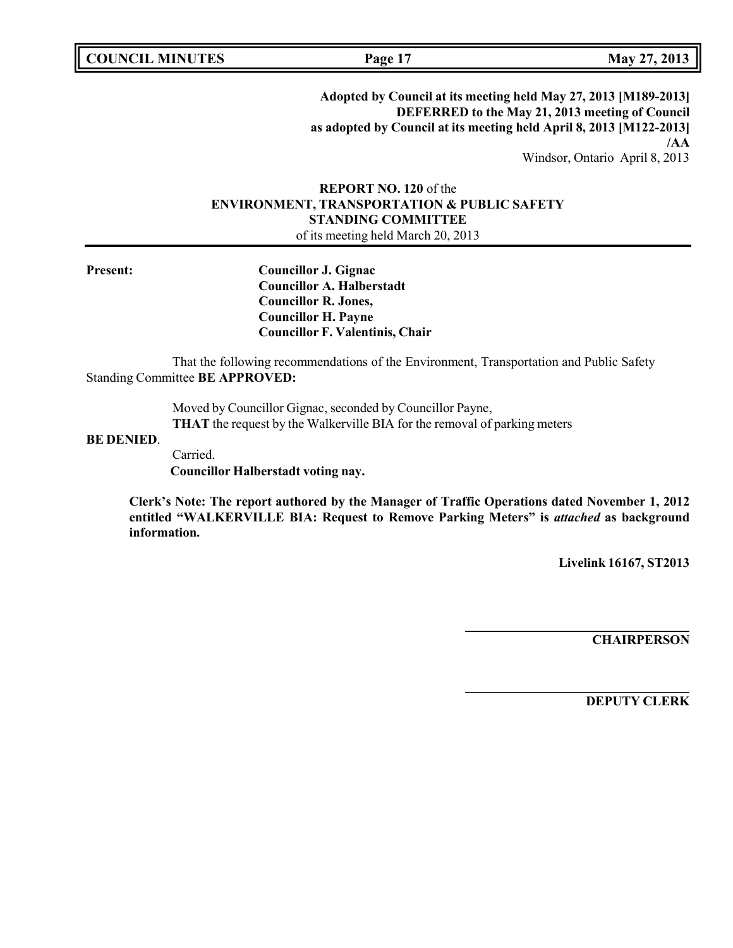**COUNCIL MINUTES Page 17 May 27, 2013**

**Adopted by Council at its meeting held May 27, 2013 [M189-2013] DEFERRED to the May 21, 2013 meeting of Council as adopted by Council at its meeting held April 8, 2013 [M122-2013] /AA**

Windsor, Ontario April 8, 2013

## **REPORT NO. 120** of the **ENVIRONMENT, TRANSPORTATION & PUBLIC SAFETY STANDING COMMITTEE** of its meeting held March 20, 2013

**Present: Councillor J. Gignac Councillor A. Halberstadt Councillor R. Jones, Councillor H. Payne Councillor F. Valentinis, Chair**

That the following recommendations of the Environment, Transportation and Public Safety Standing Committee **BE APPROVED:**

> Moved by Councillor Gignac, seconded by Councillor Payne, **THAT** the request by the Walkerville BIA for the removal of parking meters

#### **BE DENIED**.

Carried. **Councillor Halberstadt voting nay.**

**Clerk's Note: The report authored by the Manager of Traffic Operations dated November 1, 2012 entitled "WALKERVILLE BIA: Request to Remove Parking Meters" is** *attached* **as background information.**

**Livelink 16167, ST2013**

**CHAIRPERSON**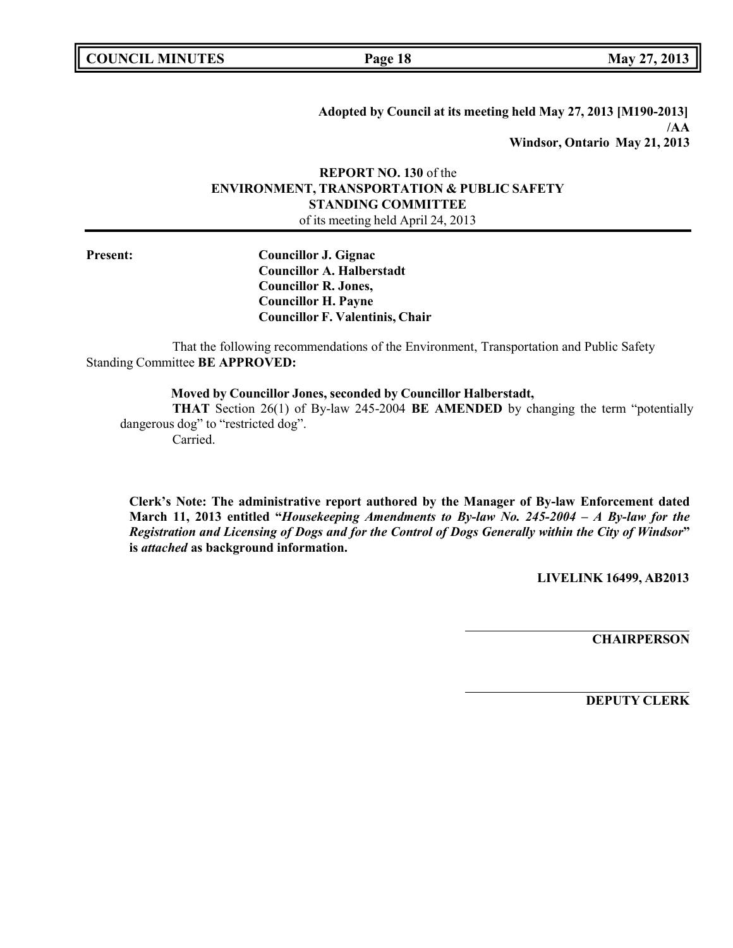**COUNCIL MINUTES Page 18 May 27, 2013**

**Adopted by Council at its meeting held May 27, 2013 [M190-2013] /AA Windsor, Ontario May 21, 2013**

### **REPORT NO. 130** of the **ENVIRONMENT, TRANSPORTATION & PUBLIC SAFETY STANDING COMMITTEE** of its meeting held April 24, 2013

**Present: Councillor J. Gignac Councillor A. Halberstadt Councillor R. Jones, Councillor H. Payne Councillor F. Valentinis, Chair**

That the following recommendations of the Environment, Transportation and Public Safety Standing Committee **BE APPROVED:**

**Moved by Councillor Jones, seconded by Councillor Halberstadt,**

**THAT** Section 26(1) of By-law 245-2004 **BE AMENDED** by changing the term "potentially dangerous dog" to "restricted dog".

Carried.

**Clerk's Note: The administrative report authored by the Manager of By-law Enforcement dated March 11, 2013 entitled "***Housekeeping Amendments to By-law No. 245-2004 – A By-law for the Registration and Licensing of Dogs and for the Control of Dogs Generally within the City of Windsor***" is** *attached* **as background information.**

**LIVELINK 16499, AB2013**

**CHAIRPERSON**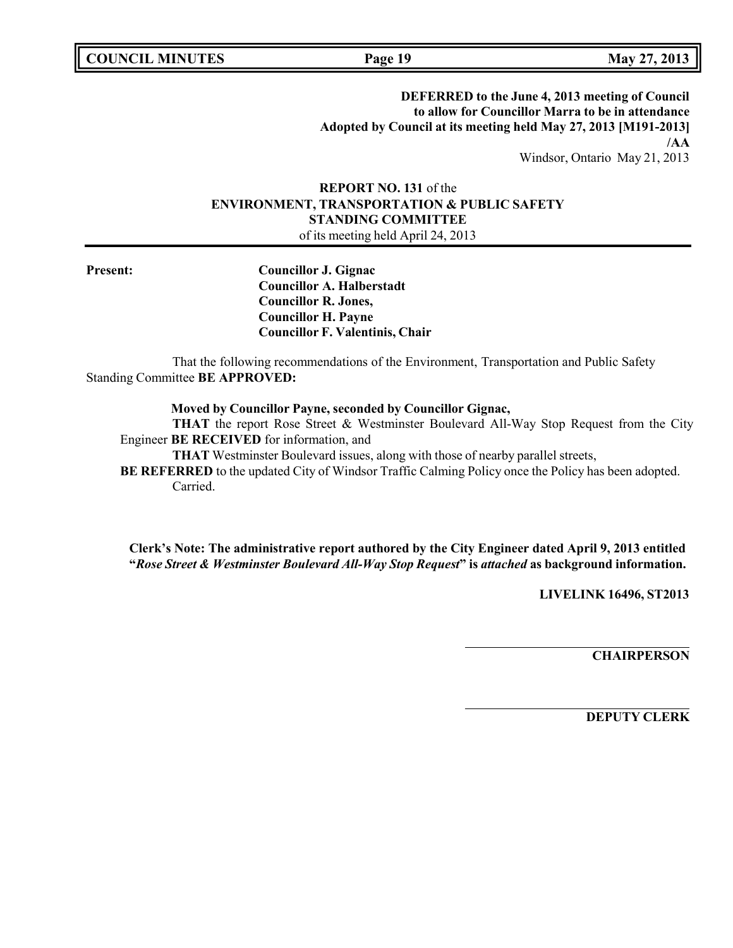**COUNCIL MINUTES Page 19 May 27, 2013**

**DEFERRED to the June 4, 2013 meeting of Council to allow for Councillor Marra to be in attendance Adopted by Council at its meeting held May 27, 2013 [M191-2013] /AA** Windsor, Ontario May 21, 2013

**REPORT NO. 131** of the **ENVIRONMENT, TRANSPORTATION & PUBLIC SAFETY STANDING COMMITTEE**

of its meeting held April 24, 2013

**Present: Councillor J. Gignac Councillor A. Halberstadt Councillor R. Jones, Councillor H. Payne Councillor F. Valentinis, Chair**

That the following recommendations of the Environment, Transportation and Public Safety Standing Committee **BE APPROVED:**

**Moved by Councillor Payne, seconded by Councillor Gignac,**

**THAT** the report Rose Street & Westminster Boulevard All-Way Stop Request from the City Engineer **BE RECEIVED** for information, and

**THAT** Westminster Boulevard issues, along with those of nearby parallel streets,

**BE REFERRED** to the updated City of Windsor Traffic Calming Policy once the Policy has been adopted. Carried.

**Clerk's Note: The administrative report authored by the City Engineer dated April 9, 2013 entitled "***Rose Street & Westminster Boulevard All-Way Stop Request***" is** *attached* **as background information.**

**LIVELINK 16496, ST2013**

**CHAIRPERSON**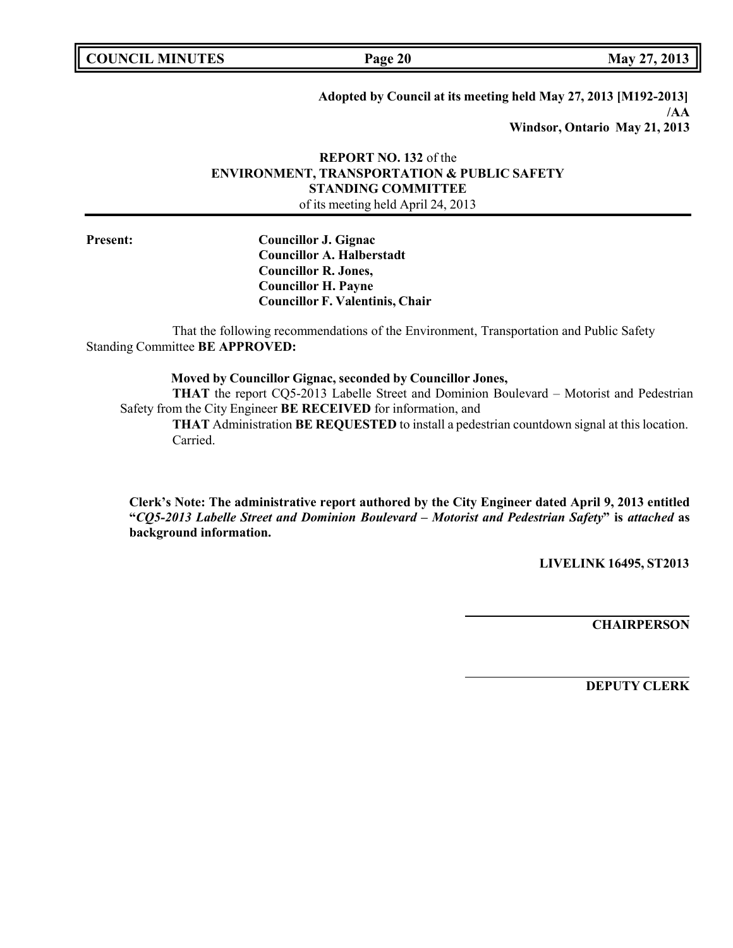**COUNCIL MINUTES Page 20 May 27, 2013**

**Adopted by Council at its meeting held May 27, 2013 [M192-2013] /AA Windsor, Ontario May 21, 2013**

## **REPORT NO. 132** of the **ENVIRONMENT, TRANSPORTATION & PUBLIC SAFETY STANDING COMMITTEE** of its meeting held April 24, 2013

**Present: Councillor J. Gignac Councillor A. Halberstadt Councillor R. Jones, Councillor H. Payne Councillor F. Valentinis, Chair**

That the following recommendations of the Environment, Transportation and Public Safety Standing Committee **BE APPROVED:**

**Moved by Councillor Gignac, seconded by Councillor Jones,**

**THAT** the report CQ5-2013 Labelle Street and Dominion Boulevard – Motorist and Pedestrian Safety from the City Engineer **BE RECEIVED** for information, and

**THAT** Administration **BE REQUESTED** to install a pedestrian countdown signal at this location. Carried.

**Clerk's Note: The administrative report authored by the City Engineer dated April 9, 2013 entitled "***CQ5-2013 Labelle Street and Dominion Boulevard – Motorist and Pedestrian Safety***" is** *attached* **as background information.**

**LIVELINK 16495, ST2013**

**CHAIRPERSON**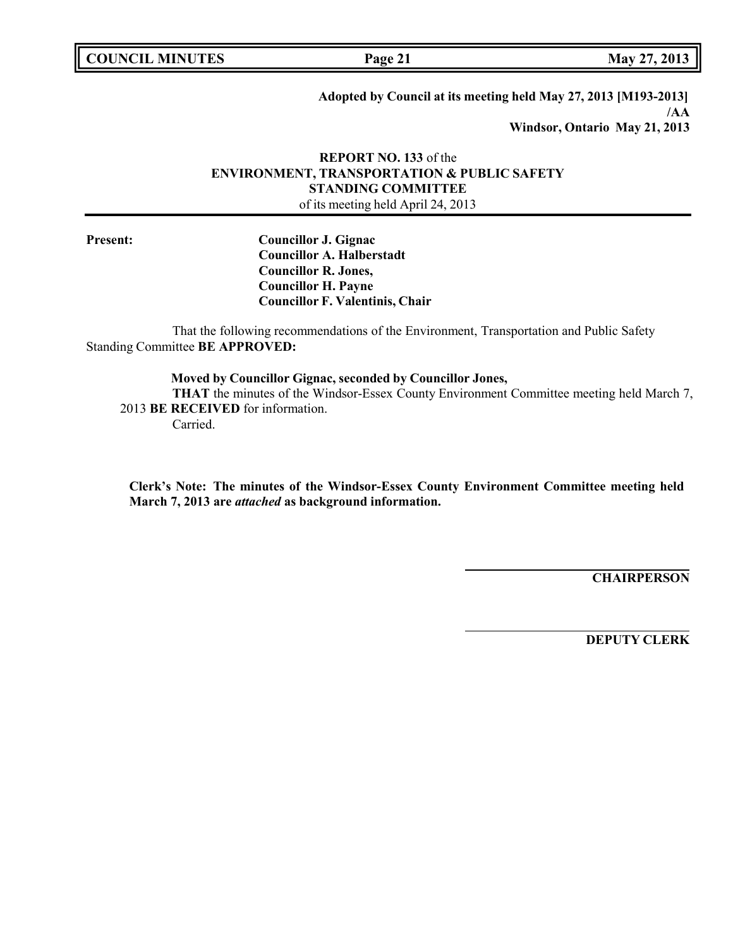**COUNCIL MINUTES Page 21 May 27, 2013**

**Adopted by Council at its meeting held May 27, 2013 [M193-2013] /AA Windsor, Ontario May 21, 2013**

### **REPORT NO. 133** of the **ENVIRONMENT, TRANSPORTATION & PUBLIC SAFETY STANDING COMMITTEE** of its meeting held April 24, 2013

**Present: Councillor J. Gignac Councillor A. Halberstadt Councillor R. Jones, Councillor H. Payne Councillor F. Valentinis, Chair**

That the following recommendations of the Environment, Transportation and Public Safety Standing Committee **BE APPROVED:**

**Moved by Councillor Gignac, seconded by Councillor Jones, THAT** the minutes of the Windsor-Essex County Environment Committee meeting held March 7, 2013 **BE RECEIVED** for information.

Carried.

**Clerk's Note: The minutes of the Windsor-Essex County Environment Committee meeting held March 7, 2013 are** *attached* **as background information.**

**CHAIRPERSON**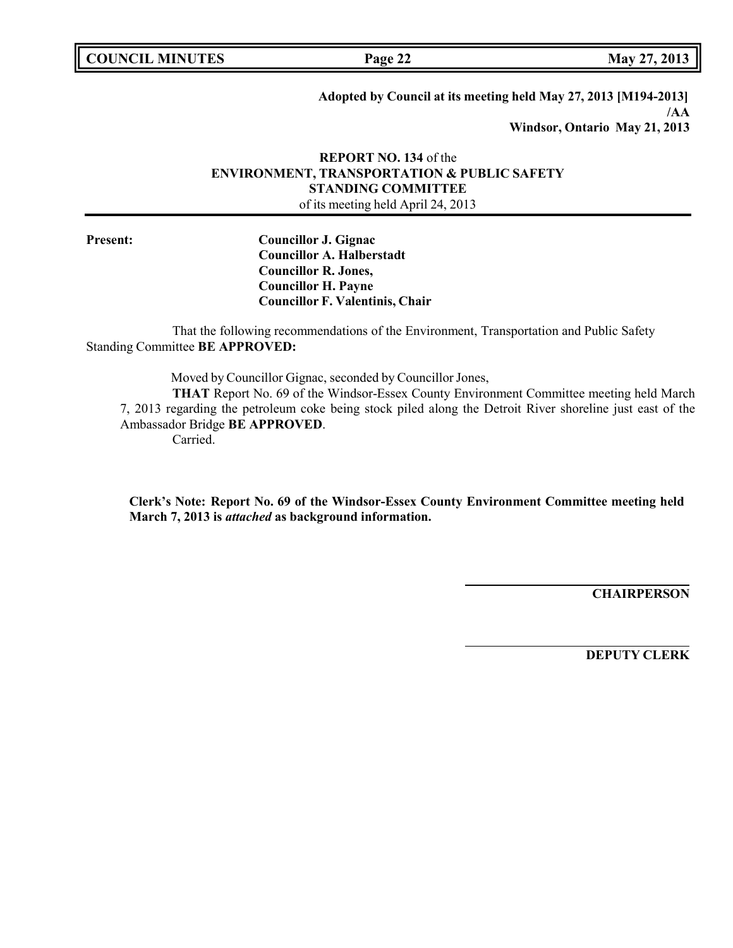**COUNCIL MINUTES Page 22 May 27, 2013**

**Adopted by Council at its meeting held May 27, 2013 [M194-2013] /AA Windsor, Ontario May 21, 2013**

## **REPORT NO. 134** of the **ENVIRONMENT, TRANSPORTATION & PUBLIC SAFETY STANDING COMMITTEE** of its meeting held April 24, 2013

**Present: Councillor J. Gignac Councillor A. Halberstadt Councillor R. Jones, Councillor H. Payne Councillor F. Valentinis, Chair**

That the following recommendations of the Environment, Transportation and Public Safety Standing Committee **BE APPROVED:**

Moved by Councillor Gignac, seconded by Councillor Jones,

**THAT** Report No. 69 of the Windsor-Essex County Environment Committee meeting held March 7, 2013 regarding the petroleum coke being stock piled along the Detroit River shoreline just east of the Ambassador Bridge **BE APPROVED**.

Carried.

**Clerk's Note: Report No. 69 of the Windsor-Essex County Environment Committee meeting held March 7, 2013 is** *attached* **as background information.**

**CHAIRPERSON**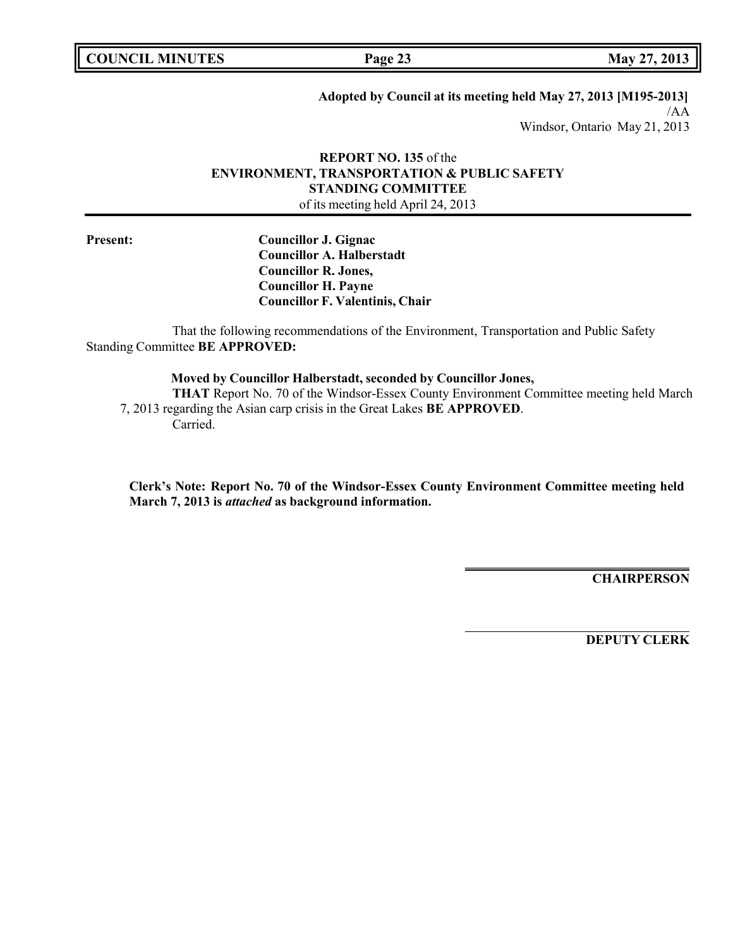**COUNCIL MINUTES Page 23 May 27, 2013**

**Adopted by Council at its meeting held May 27, 2013 [M195-2013]**

/AA Windsor, Ontario May 21, 2013

### **REPORT NO. 135** of the **ENVIRONMENT, TRANSPORTATION & PUBLIC SAFETY STANDING COMMITTEE** of its meeting held April 24, 2013

**Present: Councillor J. Gignac Councillor A. Halberstadt Councillor R. Jones, Councillor H. Payne Councillor F. Valentinis, Chair**

That the following recommendations of the Environment, Transportation and Public Safety Standing Committee **BE APPROVED:**

### **Moved by Councillor Halberstadt, seconded by Councillor Jones,**

**THAT** Report No. 70 of the Windsor-Essex County Environment Committee meeting held March 7, 2013 regarding the Asian carp crisis in the Great Lakes **BE APPROVED**. Carried.

**Clerk's Note: Report No. 70 of the Windsor-Essex County Environment Committee meeting held March 7, 2013 is** *attached* **as background information.**

**CHAIRPERSON**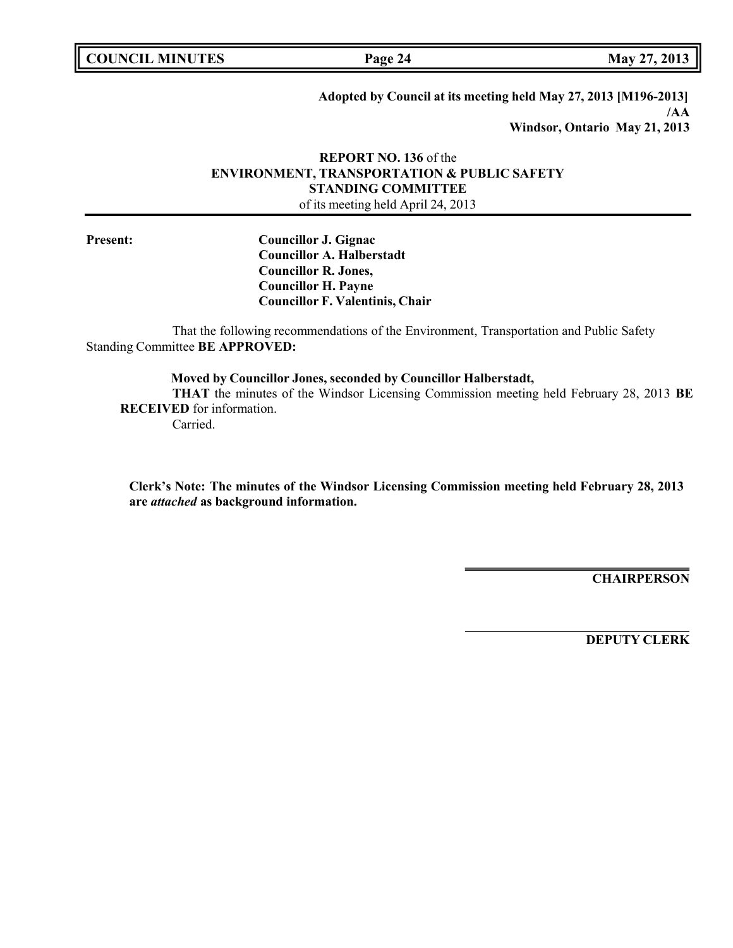**COUNCIL MINUTES Page 24 May 27, 2013**

**Adopted by Council at its meeting held May 27, 2013 [M196-2013] /AA Windsor, Ontario May 21, 2013**

### **REPORT NO. 136** of the **ENVIRONMENT, TRANSPORTATION & PUBLIC SAFETY STANDING COMMITTEE** of its meeting held April 24, 2013

**Present: Councillor J. Gignac Councillor A. Halberstadt Councillor R. Jones, Councillor H. Payne Councillor F. Valentinis, Chair**

That the following recommendations of the Environment, Transportation and Public Safety Standing Committee **BE APPROVED:**

**Moved by Councillor Jones, seconded by Councillor Halberstadt, THAT** the minutes of the Windsor Licensing Commission meeting held February 28, 2013 **BE RECEIVED** for information. Carried.

**Clerk's Note: The minutes of the Windsor Licensing Commission meeting held February 28, 2013 are** *attached* **as background information.**

**CHAIRPERSON**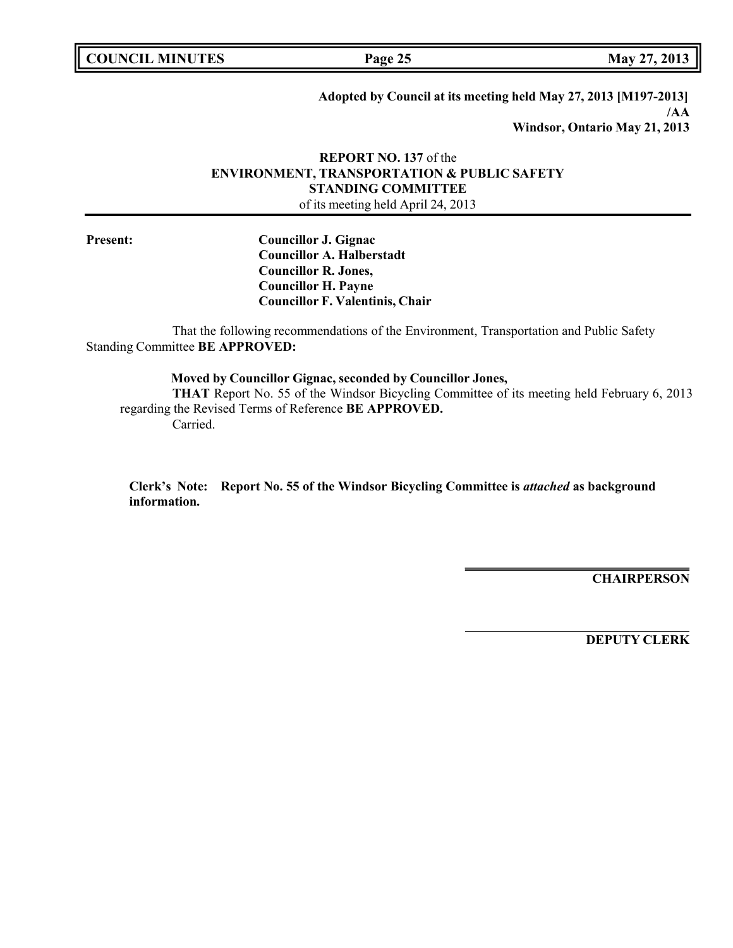**COUNCIL MINUTES Page 25 May 27, 2013**

**Adopted by Council at its meeting held May 27, 2013 [M197-2013] /AA Windsor, Ontario May 21, 2013**

## **REPORT NO. 137** of the **ENVIRONMENT, TRANSPORTATION & PUBLIC SAFETY STANDING COMMITTEE** of its meeting held April 24, 2013

**Present: Councillor J. Gignac Councillor A. Halberstadt Councillor R. Jones, Councillor H. Payne Councillor F. Valentinis, Chair**

That the following recommendations of the Environment, Transportation and Public Safety Standing Committee **BE APPROVED:**

**Moved by Councillor Gignac, seconded by Councillor Jones,**

**THAT** Report No. 55 of the Windsor Bicycling Committee of its meeting held February 6, 2013 regarding the Revised Terms of Reference **BE APPROVED.** Carried.

**Clerk's Note: Report No. 55 of the Windsor Bicycling Committee is** *attached* **as background information.**

**CHAIRPERSON**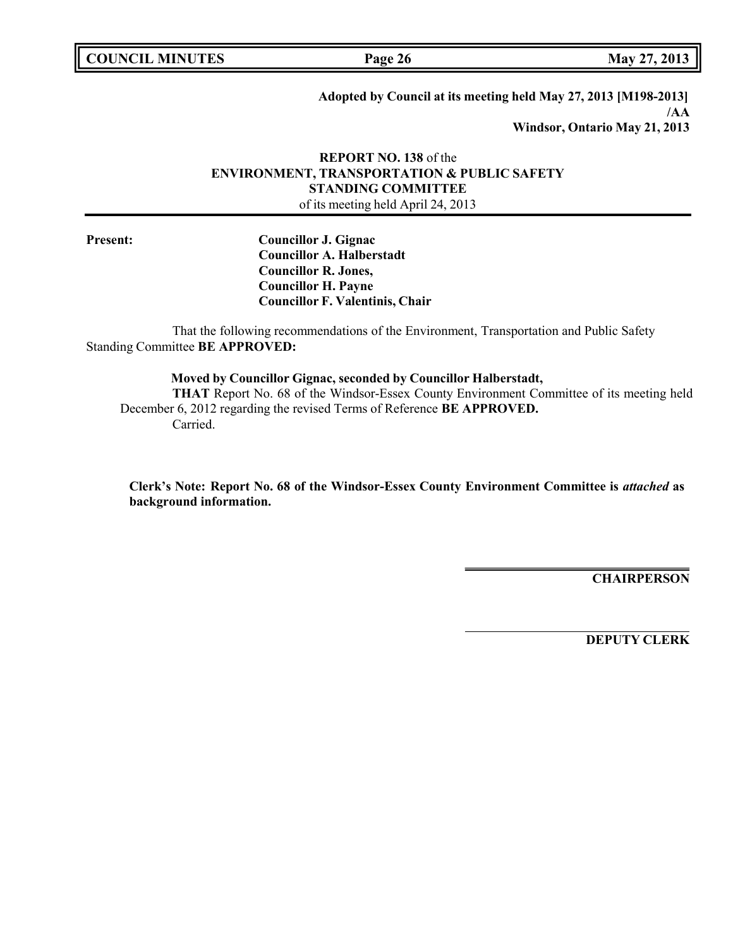**COUNCIL MINUTES Page 26 May 27, 2013**

**Adopted by Council at its meeting held May 27, 2013 [M198-2013] /AA Windsor, Ontario May 21, 2013**

## **REPORT NO. 138** of the **ENVIRONMENT, TRANSPORTATION & PUBLIC SAFETY STANDING COMMITTEE** of its meeting held April 24, 2013

**Present: Councillor J. Gignac Councillor A. Halberstadt Councillor R. Jones, Councillor H. Payne Councillor F. Valentinis, Chair**

That the following recommendations of the Environment, Transportation and Public Safety Standing Committee **BE APPROVED:**

**Moved by Councillor Gignac, seconded by Councillor Halberstadt,**

**THAT** Report No. 68 of the Windsor-Essex County Environment Committee of its meeting held December 6, 2012 regarding the revised Terms of Reference **BE APPROVED.** Carried.

**Clerk's Note: Report No. 68 of the Windsor-Essex County Environment Committee is** *attached* **as background information.**

**CHAIRPERSON**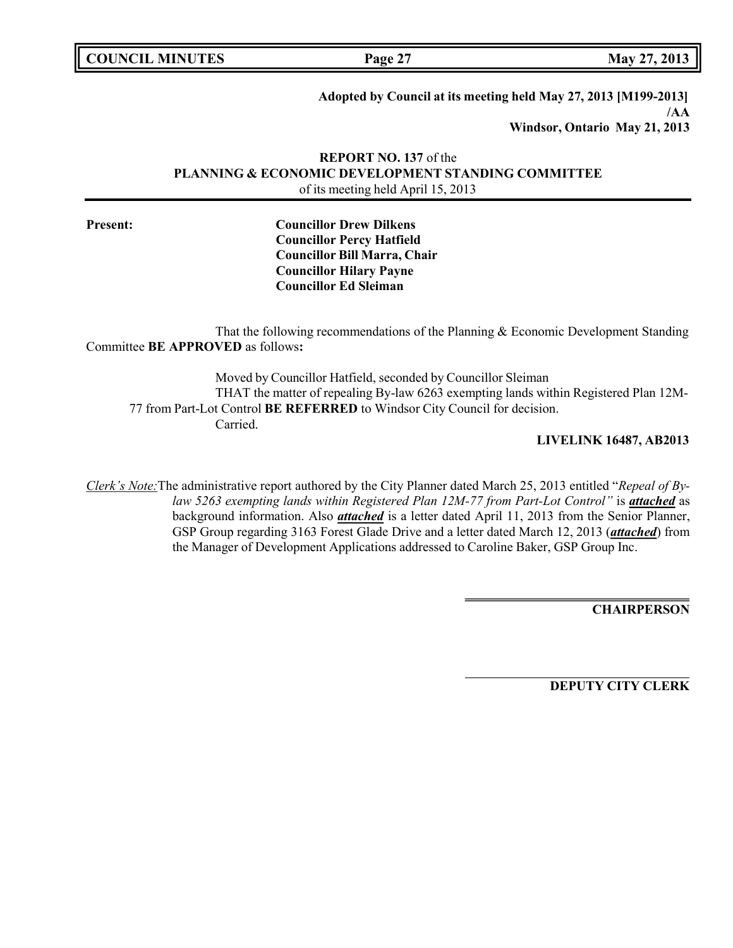| <b>COUNCIL MINUTES</b> |  |  |
|------------------------|--|--|
|------------------------|--|--|

**COUNCIL EXECUTE: COUNCIL EXECUTE: Page 27 May** 27, 2013

**Adopted by Council at its meeting held May 27, 2013 [M199-2013] /AA Windsor, Ontario May 21, 2013**

**REPORT NO. 137** of the **PLANNING & ECONOMIC DEVELOPMENT STANDING COMMITTEE** of its meeting held April 15, 2013

**Present: Councillor Drew Dilkens Councillor Percy Hatfield Councillor Bill Marra, Chair Councillor Hilary Payne Councillor Ed Sleiman**

That the following recommendations of the Planning & Economic Development Standing Committee **BE APPROVED** as follows**:**

Moved by Councillor Hatfield, seconded by Councillor Sleiman THAT the matter of repealing By-law 6263 exempting lands within Registered Plan 12M-77 from Part-Lot Control **BE REFERRED** to Windsor City Council for decision. Carried.

### **LIVELINK 16487, AB2013**

*Clerk's Note:*The administrative report authored by the City Planner dated March 25, 2013 entitled "*Repeal of Bylaw 5263 exempting lands within Registered Plan 12M-77 from Part-Lot Control"* is *attached* as background information. Also *attached* is a letter dated April 11, 2013 from the Senior Planner, GSP Group regarding 3163 Forest Glade Drive and a letter dated March 12, 2013 (*attached*) from the Manager of Development Applications addressed to Caroline Baker, GSP Group Inc.

**CHAIRPERSON**

**DEPUTY CITY CLERK**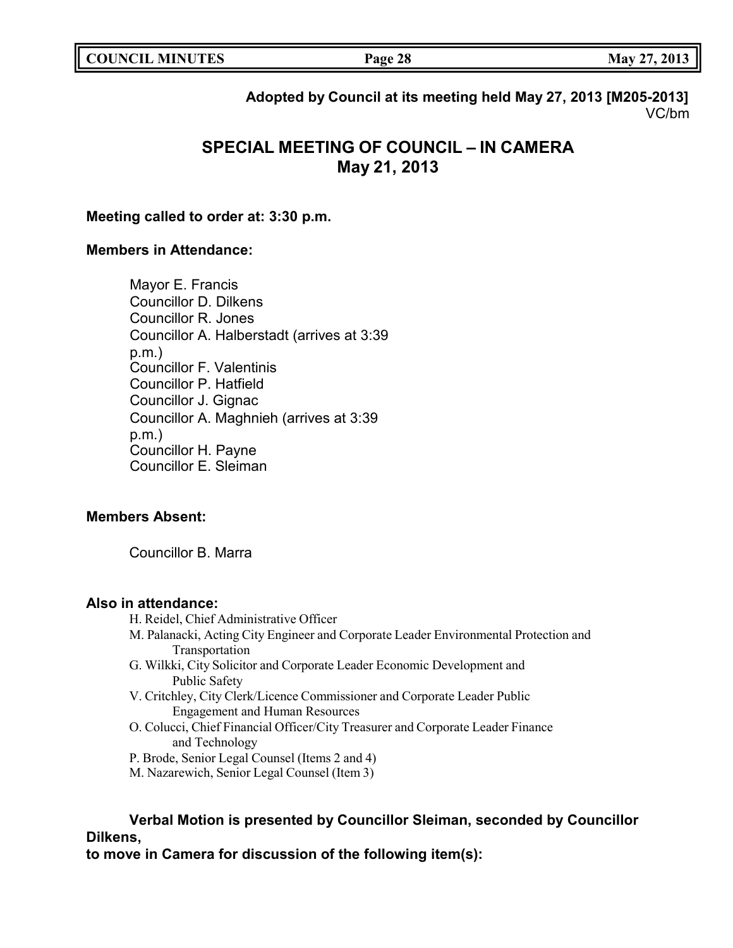**Adopted by Council at its meeting held May 27, 2013 [M205-2013]** VC/bm

# **SPECIAL MEETING OF COUNCIL – IN CAMERA May 21, 2013**

## **Meeting called to order at: 3:30 p.m.**

# **Members in Attendance:**

Mayor E. Francis Councillor D. Dilkens Councillor R. Jones Councillor A. Halberstadt (arrives at 3:39 p.m.) Councillor F. Valentinis Councillor P. Hatfield Councillor J. Gignac Councillor A. Maghnieh (arrives at 3:39 p.m.) Councillor H. Payne Councillor E. Sleiman

# **Members Absent:**

Councillor B. Marra

### **Also in attendance:**

- H. Reidel, Chief Administrative Officer
- M. Palanacki, Acting City Engineer and Corporate Leader Environmental Protection and Transportation
- G. Wilkki, City Solicitor and Corporate Leader Economic Development and Public Safety
- V. Critchley, City Clerk/Licence Commissioner and Corporate Leader Public Engagement and Human Resources
- O. Colucci, Chief Financial Officer/City Treasurer and Corporate Leader Finance and Technology
- P. Brode, Senior Legal Counsel (Items 2 and 4)
- M. Nazarewich, Senior Legal Counsel (Item 3)

# **Verbal Motion is presented by Councillor Sleiman, seconded by Councillor Dilkens,**

**to move in Camera for discussion of the following item(s):**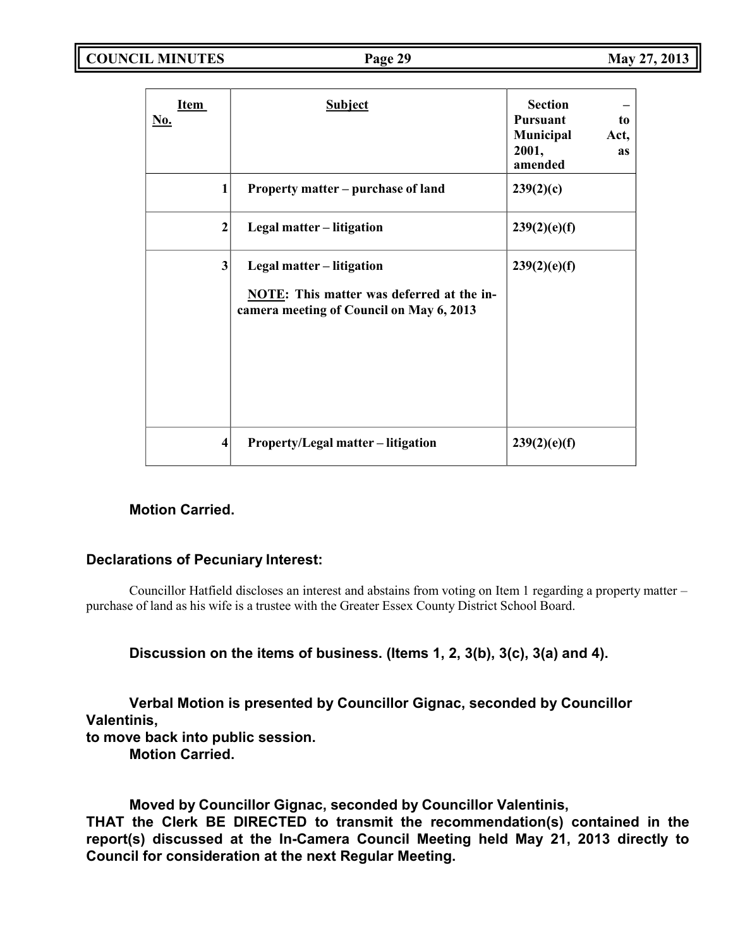**COUNCIL MINUTES Page 29 May 27, 2013**

| <b>Item</b><br><u>No.</u> | <b>Subject</b>                                                                                                     | <b>Section</b><br><b>Pursuant</b><br>to<br>Municipal<br>Act,<br>2001,<br><b>as</b><br>amended |
|---------------------------|--------------------------------------------------------------------------------------------------------------------|-----------------------------------------------------------------------------------------------|
| $\mathbf{1}$              | Property matter – purchase of land                                                                                 | 239(2)(c)                                                                                     |
| $\mathbf{2}$              | Legal matter – litigation                                                                                          | 239(2)(e)(f)                                                                                  |
| 3                         | Legal matter – litigation<br>NOTE: This matter was deferred at the in-<br>camera meeting of Council on May 6, 2013 | 239(2)(e)(f)                                                                                  |
| 4                         | <b>Property/Legal matter – litigation</b>                                                                          | 239(2)(e)(f)                                                                                  |

# **Motion Carried.**

# **Declarations of Pecuniary Interest:**

Councillor Hatfield discloses an interest and abstains from voting on Item 1 regarding a property matter – purchase of land as his wife is a trustee with the Greater Essex County District School Board.

**Discussion on the items of business. (Items 1, 2, 3(b), 3(c), 3(a) and 4).**

**Verbal Motion is presented by Councillor Gignac, seconded by Councillor Valentinis, to move back into public session.**

**Motion Carried.**

**Moved by Councillor Gignac, seconded by Councillor Valentinis,**

**THAT the Clerk BE DIRECTED to transmit the recommendation(s) contained in the report(s) discussed at the In-Camera Council Meeting held May 21, 2013 directly to Council for consideration at the next Regular Meeting.**